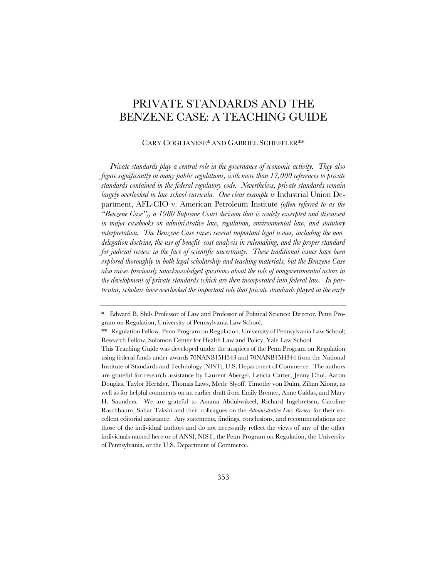# PRIVATE STANDARDS AND THE BENZENE CASE: A TEACHING GUIDE

## CARY COGLIANESE\* AND GABRIEL SCHEFFLER\*\*

*Private standards play a central role in the governance of economic activity. They also figure significantly in many public regulations, with more than 17,000 references to private standards contained in the federal regulatory code. Nevertheless, private standards remain largely overlooked in law school curricula. One clear example is* Industrial Union Department, AFL-CIO v. American Petroleum Institute *(often referred to as the "Benzene Case"), a 1980 Supreme Court decision that is widely excerpted and discussed in major casebooks on administrative law, regulation, environmental law, and statutory interpretation. The Benzene Case raises several important legal issues, including the nondelegation doctrine, the use of benefit–cost analysis in rulemaking, and the proper standard for judicial review in the face of scientific uncertainty. These traditional issues have been explored thoroughly in both legal scholarship and teaching materials, but the Benzene Case also raises previously unacknowledged questions about the role of nongovernmental actors in the development of private standards which are then incorporated into federal law. In particular, scholars have overlooked the important role that private standards played in the early* 

<sup>\*</sup> Edward B. Shils Professor of Law and Professor of Political Science; Director, Penn Program on Regulation, University of Pennsylvania Law School.

<sup>\*\*</sup> Regulation Fellow, Penn Program on Regulation, University of Pennsylvania Law School; Research Fellow, Solomon Center for Health Law and Policy, Yale Law School.

This Teaching Guide was developed under the auspices of the Penn Program on Regulation using federal funds under awards 70NANB15H343 and 70NANB15H344 from the National Institute of Standards and Technology (NIST), U.S. Department of Commerce. The authors are grateful for research assistance by Laurent Abergel, Leticia Carter, Jenny Choi, Aaron Douglas, Taylor Hertzler, Thomas Laws, Merle Slyoff, Timothy von Dulm, Zihan Xiong, as well as for helpful comments on an earlier draft from Emily Bremer, Anne Caldas, and Mary H. Saunders. We are grateful to Amana Abdulwakeel, Richard Ingebretsen, Caroline Raschbaum, Sahar Takshi and their colleagues on the *Administrative Law Review* for their excellent editorial assistance. Any statements, findings, conclusions, and recommendations are those of the individual authors and do not necessarily reflect the views of any of the other individuals named here or of ANSI, NIST, the Penn Program on Regulation, the University of Pennsylvania, or the U.S. Department of Commerce.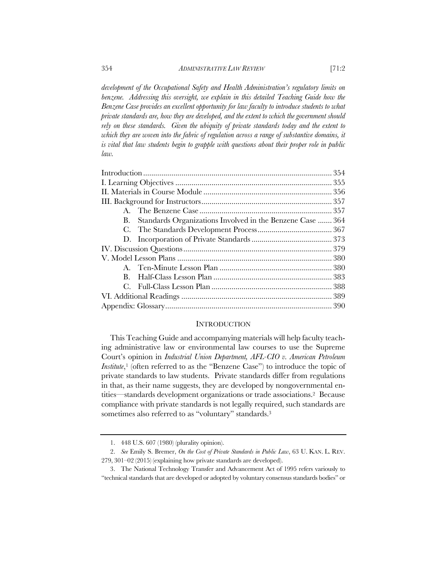*development of the Occupational Safety and Health Administration's regulatory limits on*  benzene. Addressing this oversight, we explain in this detailed Teaching Guide how the *Benzene Case provides an excellent opportunity for law faculty to introduce students to what private standards are, how they are developed, and the extent to which the government should rely on these standards. Given the ubiquity of private standards today and the extent to which they are woven into the fabric of regulation across a range of substantive domains, it is vital that law students begin to grapple with questions about their proper role in public law.*

| B. Standards Organizations Involved in the Benzene Case 364 |  |
|-------------------------------------------------------------|--|
|                                                             |  |
|                                                             |  |
|                                                             |  |
|                                                             |  |
|                                                             |  |
| В.                                                          |  |
| $C_{\cdot}$                                                 |  |
|                                                             |  |
|                                                             |  |

#### **INTRODUCTION**

This Teaching Guide and accompanying materials will help faculty teaching administrative law or environmental law courses to use the Supreme Court's opinion in *Industrial Union Department, AFL-CIO v. American Petroleum Institute*,<sup>1</sup> (often referred to as the "Benzene Case") to introduce the topic of private standards to law students. Private standards differ from regulations in that, as their name suggests, they are developed by nongovernmental entities—standards development organizations or trade associations.2Because compliance with private standards is not legally required, such standards are sometimes also referred to as "voluntary" standards.<sup>3</sup>

<sup>1.</sup> 448 U.S. 607 (1980) (plurality opinion).

<sup>2.</sup> *See* Emily S. Bremer, *On the Cost of Private Standards in Public Law*, 63 U. KAN. L. REV. 279, 301–02 (2015) (explaining how private standards are developed).

<sup>3.</sup> The National Technology Transfer and Advancement Act of 1995 refers variously to "technical standards that are developed or adopted by voluntary consensus standards bodies" or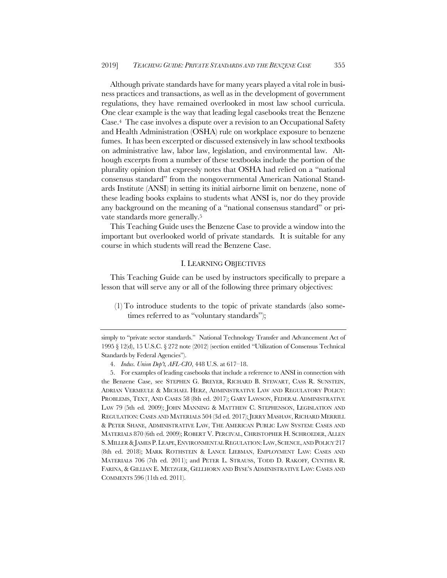Although private standards have for many years played a vital role in business practices and transactions, as well as in the development of government regulations, they have remained overlooked in most law school curricula. One clear example is the way that leading legal casebooks treat the Benzene Case.4 The case involves a dispute over a revision to an Occupational Safety and Health Administration (OSHA) rule on workplace exposure to benzene fumes. It has been excerpted or discussed extensively in law school textbooks on administrative law, labor law, legislation, and environmental law. Although excerpts from a number of these textbooks include the portion of the plurality opinion that expressly notes that OSHA had relied on a "national consensus standard" from the nongovernmental American National Standards Institute (ANSI) in setting its initial airborne limit on benzene, none of these leading books explains to students what ANSI is, nor do they provide any background on the meaning of a "national consensus standard" or private standards more generally.5

This Teaching Guide uses the Benzene Case to provide a window into the important but overlooked world of private standards. It is suitable for any course in which students will read the Benzene Case.

#### I. LEARNING OBJECTIVES

This Teaching Guide can be used by instructors specifically to prepare a lesson that will serve any or all of the following three primary objectives:

(1) To introduce students to the topic of private standards (also sometimes referred to as "voluntary standards");

simply to "private sector standards." National Technology Transfer and Advancement Act of 1995 § 12(d), 15 U.S.C. § 272 note (2012) (section entitled "Utilization of Consensus Technical Standards by Federal Agencies").

<sup>4.</sup> *Indus. Union Dep't, AFL-CIO*, 448 U.S. at 617–18.

<sup>5.</sup> For examples of leading casebooks that include a reference to ANSI in connection with the Benzene Case, see STEPHEN G. BREYER, RICHARD B. STEWART, CASS R. SUNSTEIN, ADRIAN VERMEULE & MICHAEL HERZ, ADMINISTRATIVE LAW AND REGULATORY POLICY: PROBLEMS, TEXT, AND CASES 58 (8th ed. 2017); GARY LAWSON, FEDERAL ADMINISTRATIVE LAW 79 (5th ed. 2009); JOHN MANNING & MATTHEW C. STEPHENSON, LEGISLATION AND REGULATION: CASES AND MATERIALS 504 (3d ed. 2017); JERRY MASHAW, RICHARD MERRILL & PETER SHANE, ADMINISTRATIVE LAW, THE AMERICAN PUBLIC LAW SYSTEM: CASES AND MATERIALS 870 (6th ed. 2009); ROBERT V. PERCIVAL, CHRISTOPHER H. SCHROEDER, ALLEN S. MILLER & JAMES P. LEAPE, ENVIRONMENTAL REGULATION: LAW, SCIENCE, AND POLICY 217 (8th ed. 2018); MARK ROTHSTEIN & LANCE LIEBMAN, EMPLOYMENT LAW: CASES AND MATERIALS 706 (7th ed. 2011); and PETER L. STRAUSS, TODD D. RAKOFF, CYNTHIA R. FARINA, & GILLIAN E. METZGER, GELLHORN AND BYSE'S ADMINISTRATIVE LAW: CASES AND COMMENTS 596 (11th ed. 2011).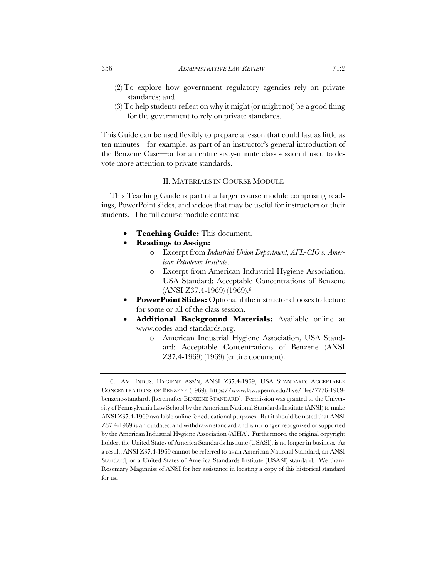- (2) To explore how government regulatory agencies rely on private standards; and
- (3) To help students reflect on why it might (or might not) be a good thing for the government to rely on private standards.

This Guide can be used flexibly to prepare a lesson that could last as little as ten minutes—for example, as part of an instructor's general introduction of the Benzene Case—or for an entire sixty-minute class session if used to devote more attention to private standards.

## II. MATERIALS IN COURSE MODULE

This Teaching Guide is part of a larger course module comprising readings, PowerPoint slides, and videos that may be useful for instructors or their students. The full course module contains:

- **Teaching Guide:** This document.
- **Readings to Assign:**
	- o Excerpt from *Industrial Union Department, AFL-CIO v. American Petroleum Institute*.
	- o Excerpt from American Industrial Hygiene Association, USA Standard: Acceptable Concentrations of Benzene (ANSI Z37.4-1969) (1969).6
- **PowerPoint Slides:** Optional if the instructor chooses to lecture for some or all of the class session.
- **Additional Background Materials:** Available online at www.codes-and-standards.org.
	- o American Industrial Hygiene Association, USA Standard: Acceptable Concentrations of Benzene (ANSI Z37.4-1969) (1969) (entire document).

<sup>6.</sup> AM. INDUS. HYGIENE ASS'N, ANSI Z37.4-1969, USA STANDARD: ACCEPTABLE CONCENTRATIONS OF BENZENE (1969), https://www.law.upenn.edu/live/files/7776-1969 benzene-standard. [hereinafter BENZENE STANDARD]. Permission was granted to the University of Pennsylvania Law School by the American National Standards Institute (ANSI) to make ANSI Z37.4-1969 available online for educational purposes. But it should be noted that ANSI Z37.4-1969 is an outdated and withdrawn standard and is no longer recognized or supported by the American Industrial Hygiene Association (AIHA). Furthermore, the original copyright holder, the United States of America Standards Institute (USASI), is no longer in business. As a result, ANSI Z37.4-1969 cannot be referred to as an American National Standard, an ANSI Standard, or a United States of America Standards Institute (USASI) standard. We thank Rosemary Maginniss of ANSI for her assistance in locating a copy of this historical standard for us.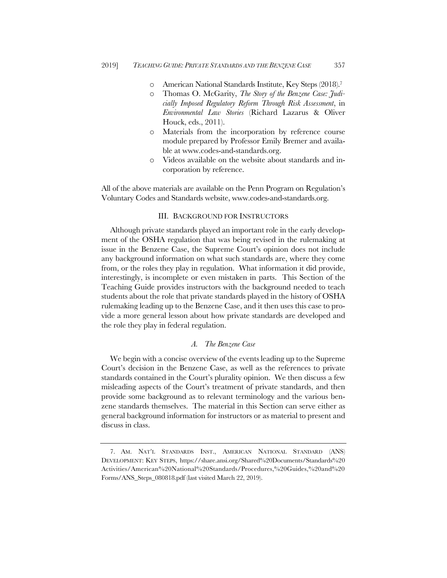- o American National Standards Institute, Key Steps (2018).7
- o Thomas O. McGarity, *The Story of the Benzene Case: Judicially Imposed Regulatory Reform Through Risk Assessment*, in *Environmental Law Stories* (Richard Lazarus & Oliver Houck, eds., 2011).
- o Materials from the incorporation by reference course module prepared by Professor Emily Bremer and available at www.codes-and-standards.org.
- o Videos available on the website about standards and incorporation by reference.

All of the above materials are available on the Penn Program on Regulation's Voluntary Codes and Standards website, www.codes-and-standards.org.

## III. BACKGROUND FOR INSTRUCTORS

Although private standards played an important role in the early development of the OSHA regulation that was being revised in the rulemaking at issue in the Benzene Case, the Supreme Court's opinion does not include any background information on what such standards are, where they come from, or the roles they play in regulation. What information it did provide, interestingly, is incomplete or even mistaken in parts. This Section of the Teaching Guide provides instructors with the background needed to teach students about the role that private standards played in the history of OSHA rulemaking leading up to the Benzene Case, and it then uses this case to provide a more general lesson about how private standards are developed and the role they play in federal regulation.

## *A. The Benzene Case*

We begin with a concise overview of the events leading up to the Supreme Court's decision in the Benzene Case, as well as the references to private standards contained in the Court's plurality opinion. We then discuss a few misleading aspects of the Court's treatment of private standards, and then provide some background as to relevant terminology and the various benzene standards themselves. The material in this Section can serve either as general background information for instructors or as material to present and discuss in class.

<sup>7.</sup> AM. NAT'L STANDARDS INST., AMERICAN NATIONAL STANDARD (ANS) DEVELOPMENT: KEY STEPS, https://share.ansi.org/Shared%20Documents/Standards%20 Activities/American%20National%20Standards/Procedures,%20Guides,%20and%20 Forms/ANS\_Steps\_080818.pdf (last visited March 22, 2019).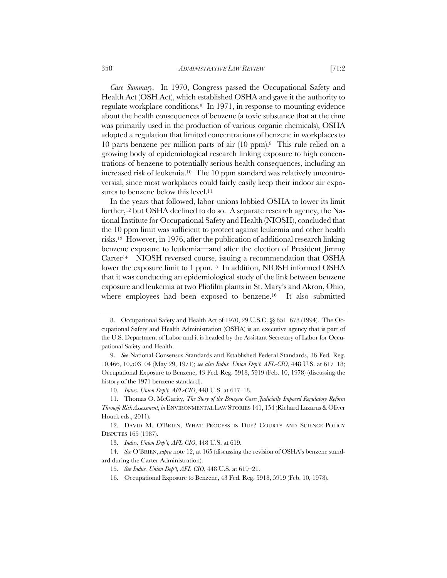*Case Summary.* In 1970, Congress passed the Occupational Safety and Health Act (OSH Act), which established OSHA and gave it the authority to regulate workplace conditions.8 In 1971, in response to mounting evidence about the health consequences of benzene (a toxic substance that at the time was primarily used in the production of various organic chemicals), OSHA adopted a regulation that limited concentrations of benzene in workplaces to 10 parts benzene per million parts of air (10 ppm).9 This rule relied on a growing body of epidemiological research linking exposure to high concentrations of benzene to potentially serious health consequences, including an increased risk of leukemia.10 The 10 ppm standard was relatively uncontroversial, since most workplaces could fairly easily keep their indoor air exposures to benzene below this level.<sup>11</sup>

In the years that followed, labor unions lobbied OSHA to lower its limit further,<sup>12</sup> but OSHA declined to do so. A separate research agency, the National Institute for Occupational Safety and Health (NIOSH), concluded that the 10 ppm limit was sufficient to protect against leukemia and other health risks.13 However, in 1976, after the publication of additional research linking benzene exposure to leukemia—and after the election of President Jimmy Carter14—NIOSH reversed course, issuing a recommendation that OSHA lower the exposure limit to 1 ppm.15 In addition, NIOSH informed OSHA that it was conducting an epidemiological study of the link between benzene exposure and leukemia at two Pliofilm plants in St. Mary's and Akron, Ohio, where employees had been exposed to benzene.<sup>16</sup> It also submitted

<sup>8.</sup> Occupational Safety and Health Act of 1970, 29 U.S.C. §§ 651–678 (1994). The Occupational Safety and Health Administration (OSHA) is an executive agency that is part of the U.S. Department of Labor and it is headed by the Assistant Secretary of Labor for Occupational Safety and Health.

<sup>9.</sup> *See* National Consensus Standards and Established Federal Standards, 36 Fed. Reg. 10,466, 10,503–04 (May 29, 1971); *see also Indus. Union Dep't, AFL-CIO*, 448 U.S. at 617–18; Occupational Exposure to Benzene, 43 Fed. Reg. 5918, 5919 (Feb. 10, 1978) (discussing the history of the 1971 benzene standard).

<sup>10.</sup> *Indus. Union Dep't, AFL-CIO*, 448 U.S. at 617–18.

<sup>11.</sup> Thomas O. McGarity, *The Story of the Benzene Case: Judicially Imposed Regulatory Reform Through Risk Assessment*, *in* ENVIRONMENTAL LAW STORIES 141, 154 (Richard Lazarus & Oliver Houck eds., 2011).

<sup>12.</sup> DAVID M. O'BRIEN, WHAT PROCESS IS DUE? COURTS AND SCIENCE-POLICY DISPUTES 165 (1987).

<sup>13.</sup> *Indus. Union Dep't, AFL-CIO*, 448 U.S. at 619.

<sup>14.</sup> *See* O'BRIEN, *supra* note 12, at 165 (discussing the revision of OSHA's benzene standard during the Carter Administration).

<sup>15.</sup> *See Indus. Union Dep't, AFL-CIO*, 448 U.S. at 619–21.

<sup>16.</sup> Occupational Exposure to Benzene, 43 Fed. Reg. 5918, 5919 (Feb. 10, 1978).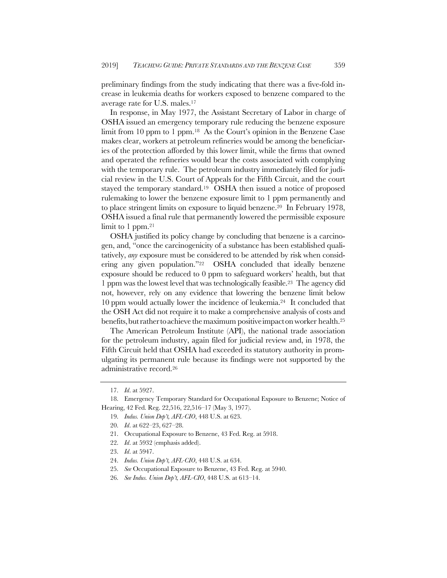preliminary findings from the study indicating that there was a five-fold increase in leukemia deaths for workers exposed to benzene compared to the average rate for U.S. males.17

In response, in May 1977, the Assistant Secretary of Labor in charge of OSHA issued an emergency temporary rule reducing the benzene exposure limit from 10 ppm to 1 ppm.18 As the Court's opinion in the Benzene Case makes clear, workers at petroleum refineries would be among the beneficiaries of the protection afforded by this lower limit, while the firms that owned and operated the refineries would bear the costs associated with complying with the temporary rule. The petroleum industry immediately filed for judicial review in the U.S. Court of Appeals for the Fifth Circuit, and the court stayed the temporary standard.19 OSHA then issued a notice of proposed rulemaking to lower the benzene exposure limit to 1 ppm permanently and to place stringent limits on exposure to liquid benzene.20 In February 1978, OSHA issued a final rule that permanently lowered the permissible exposure limit to 1 ppm.<sup>21</sup>

OSHA justified its policy change by concluding that benzene is a carcinogen, and, "once the carcinogenicity of a substance has been established qualitatively, *any* exposure must be considered to be attended by risk when considering any given population."22 OSHA concluded that ideally benzene exposure should be reduced to 0 ppm to safeguard workers' health, but that 1 ppm was the lowest level that was technologically feasible.23 The agency did not, however, rely on any evidence that lowering the benzene limit below 10 ppm would actually lower the incidence of leukemia.24 It concluded that the OSH Act did not require it to make a comprehensive analysis of costs and benefits, but rather to achieve the maximum positive impact on worker health.<sup>25</sup>

The American Petroleum Institute (API), the national trade association for the petroleum industry, again filed for judicial review and, in 1978, the Fifth Circuit held that OSHA had exceeded its statutory authority in promulgating its permanent rule because its findings were not supported by the administrative record.26

- 24. *Indus. Union Dep't, AFL-CIO*, 448 U.S. at 634.
- 25. *See* Occupational Exposure to Benzene, 43 Fed. Reg. at 5940.
- 26. *See Indus. Union Dep't, AFL-CIO*, 448 U.S. at 613–14.

<sup>17.</sup> *Id*. at 5927.

<sup>18.</sup> Emergency Temporary Standard for Occupational Exposure to Benzene; Notice of Hearing, 42 Fed. Reg. 22,516, 22,516–17 (May 3, 1977).

<sup>19.</sup> *Indus. Union Dep't, AFL-CIO*, 448 U.S. at 623.

<sup>20.</sup> *Id*. at 622–23, 627–28.

<sup>21.</sup> Occupational Exposure to Benzene, 43 Fed. Reg. at 5918.

<sup>22.</sup> *Id*. at 5932 (emphasis added).

<sup>23.</sup> *Id*. at 5947.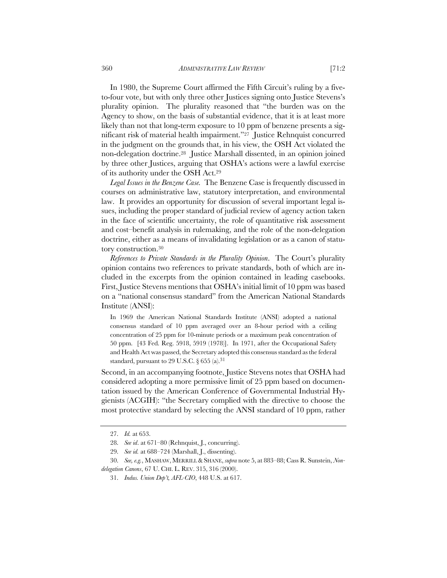In 1980, the Supreme Court affirmed the Fifth Circuit's ruling by a fiveto-four vote, but with only three other Justices signing onto Justice Stevens's plurality opinion. The plurality reasoned that "the burden was on the Agency to show, on the basis of substantial evidence, that it is at least more likely than not that long-term exposure to 10 ppm of benzene presents a significant risk of material health impairment."27 Justice Rehnquist concurred in the judgment on the grounds that, in his view, the OSH Act violated the non-delegation doctrine.28 Justice Marshall dissented, in an opinion joined by three other Justices, arguing that OSHA's actions were a lawful exercise of its authority under the OSH Act.29

*Legal Issues in the Benzene Case.* The Benzene Case is frequently discussed in courses on administrative law, statutory interpretation, and environmental law. It provides an opportunity for discussion of several important legal issues, including the proper standard of judicial review of agency action taken in the face of scientific uncertainty, the role of quantitative risk assessment and cost–benefit analysis in rulemaking, and the role of the non-delegation doctrine, either as a means of invalidating legislation or as a canon of statutory construction.30

*References to Private Standards in the Plurality Opinion*. The Court's plurality opinion contains two references to private standards, both of which are included in the excerpts from the opinion contained in leading casebooks. First, Justice Stevens mentions that OSHA's initial limit of 10 ppm was based on a "national consensus standard" from the American National Standards Institute (ANSI):

In 1969 the American National Standards Institute (ANSI) adopted a national consensus standard of 10 ppm averaged over an 8-hour period with a ceiling concentration of 25 ppm for 10-minute periods or a maximum peak concentration of 50 ppm. [43 Fed. Reg. 5918, 5919 (1978)]. In 1971, after the Occupational Safety and Health Act was passed, the Secretary adopted this consensus standard as the federal standard, pursuant to 29 U.S.C. § 655 (a).<sup>31</sup>

Second, in an accompanying footnote, Justice Stevens notes that OSHA had considered adopting a more permissive limit of 25 ppm based on documentation issued by the American Conference of Governmental Industrial Hygienists (ACGIH): "the Secretary complied with the directive to choose the most protective standard by selecting the ANSI standard of 10 ppm, rather

<sup>27.</sup> *Id.* at 653.

<sup>28.</sup> *See id*. at 671–80 (Rehnquist, J., concurring).

<sup>29.</sup> *See id.* at 688–724 (Marshall, J., dissenting).

<sup>30.</sup> *See, e.g.*, MASHAW, MERRILL&SHANE, *supra* note 5, at 883–88; Cass R. Sunstein, *Nondelegation Canons*, 67 U. CHI. L. REV. 315, 316 (2000).

<sup>31.</sup> *Indus. Union Dep't, AFL-CIO*, 448 U.S. at 617.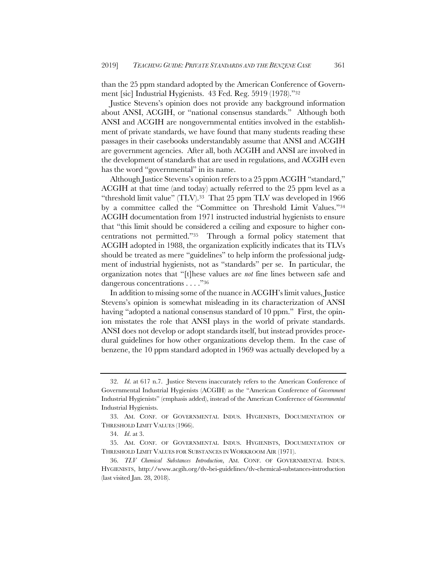than the 25 ppm standard adopted by the American Conference of Government [sic] Industrial Hygienists. 43 Fed. Reg. 5919 (1978)."32

Justice Stevens's opinion does not provide any background information about ANSI, ACGIH, or "national consensus standards." Although both ANSI and ACGIH are nongovernmental entities involved in the establishment of private standards, we have found that many students reading these passages in their casebooks understandably assume that ANSI and ACGIH are government agencies. After all, both ACGIH and ANSI are involved in the development of standards that are used in regulations, and ACGIH even has the word "governmental" in its name.

Although Justice Stevens's opinion refers to a 25 ppm ACGIH "standard," ACGIH at that time (and today) actually referred to the 25 ppm level as a "threshold limit value" (TLV).33 That 25 ppm TLV was developed in 1966 by a committee called the "Committee on Threshold Limit Values."34 ACGIH documentation from 1971 instructed industrial hygienists to ensure that "this limit should be considered a ceiling and exposure to higher concentrations not permitted."35 Through a formal policy statement that ACGIH adopted in 1988, the organization explicitly indicates that its TLVs should be treated as mere "guidelines" to help inform the professional judgment of industrial hygienists, not as "standards" per se. In particular, the organization notes that "[t]hese values are *not* fine lines between safe and dangerous concentrations . . . ."36

In addition to missing some of the nuance in ACGIH's limit values, Justice Stevens's opinion is somewhat misleading in its characterization of ANSI having "adopted a national consensus standard of 10 ppm." First, the opinion misstates the role that ANSI plays in the world of private standards. ANSI does not develop or adopt standards itself, but instead provides procedural guidelines for how other organizations develop them. In the case of benzene, the 10 ppm standard adopted in 1969 was actually developed by a

<sup>32.</sup> *Id*. at 617 n.7. Justice Stevens inaccurately refers to the American Conference of Governmental Industrial Hygienists (ACGIH) as the "American Conference of *Government* Industrial Hygienists" (emphasis added), instead of the American Conference of *Governmental* Industrial Hygienists.

<sup>33.</sup> AM. CONF. OF GOVERNMENTAL INDUS. HYGIENISTS, DOCUMENTATION OF THRESHOLD LIMIT VALUES (1966).

<sup>34.</sup> *Id*. at 3.

<sup>35.</sup> AM. CONF. OF GOVERNMENTAL INDUS. HYGIENISTS, DOCUMENTATION OF THRESHOLD LIMIT VALUES FOR SUBSTANCES IN WORKROOM AIR (1971).

<sup>36.</sup> *TLV Chemical Substances Introduction*, AM. CONF. OF GOVERNMENTAL INDUS. HYGIENISTS, http://www.acgih.org/tlv-bei-guidelines/tlv-chemical-substances-introduction (last visited Jan. 28, 2018).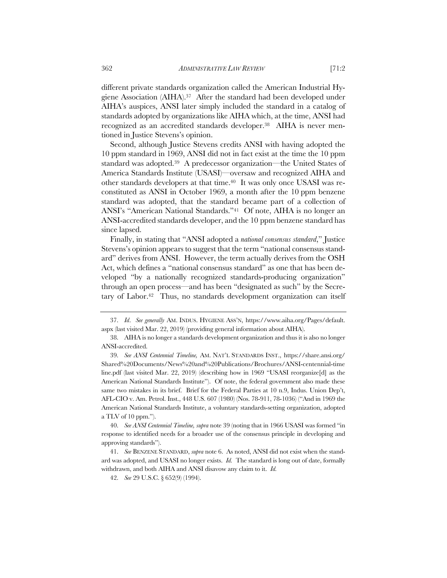different private standards organization called the American Industrial Hygiene Association (AIHA).37 After the standard had been developed under AIHA's auspices, ANSI later simply included the standard in a catalog of standards adopted by organizations like AIHA which, at the time, ANSI had recognized as an accredited standards developer.38 AIHA is never mentioned in Justice Stevens's opinion.

Second, although Justice Stevens credits ANSI with having adopted the 10 ppm standard in 1969, ANSI did not in fact exist at the time the 10 ppm standard was adopted.39 A predecessor organization—the United States of America Standards Institute (USASI)—oversaw and recognized AIHA and other standards developers at that time.40 It was only once USASI was reconstituted as ANSI in October 1969, a month after the 10 ppm benzene standard was adopted, that the standard became part of a collection of ANSI's "American National Standards."41 Of note, AIHA is no longer an ANSI-accredited standards developer, and the 10 ppm benzene standard has since lapsed.

Finally, in stating that "ANSI adopted a *national consensus standard*," Justice Stevens's opinion appears to suggest that the term "national consensus standard" derives from ANSI. However, the term actually derives from the OSH Act, which defines a "national consensus standard" as one that has been developed "by a nationally recognized standards-producing organization" through an open process—and has been "designated as such" by the Secretary of Labor.<sup>42</sup> Thus, no standards development organization can itself

<sup>37.</sup> *Id*. *See generally* AM. INDUS. HYGIENE ASS'N, https://www.aiha.org/Pages/default. aspx (last visited Mar. 22, 2019) (providing general information about AIHA).

<sup>38.</sup> AIHA is no longer a standards development organization and thus it is also no longer ANSI-accredited.

<sup>39.</sup> *See ANSI Centennial Timeline,* AM. NAT'L STANDARDS INST., https://share.ansi.org/ Shared%20Documents/News%20and%20Publications/Brochures/ANSI-centennial-time line.pdf (last visited Mar. 22, 2019) (describing how in 1969 "USASI reorganize[d] as the American National Standards Institute"). Of note, the federal government also made these same two mistakes in its brief. Brief for the Federal Parties at 10 n.9, Indus. Union Dep't, AFL-CIO v. Am. Petrol. Inst., 448 U.S. 607 (1980) (Nos. 78-911, 78-1036) ("And in 1969 the American National Standards Institute, a voluntary standards-setting organization, adopted a TLV of 10 ppm.").

<sup>40.</sup> *See ANSI Centennial Timeline, supra* note 39 (noting that in 1966 USASI was formed "in response to identified needs for a broader use of the consensus principle in developing and approving standards").

<sup>41.</sup> *See* BENZENE STANDARD, *supra* note 6. As noted, ANSI did not exist when the standard was adopted, and USASI no longer exists. *Id.* The standard is long out of date, formally withdrawn, and both AIHA and ANSI disavow any claim to it. *Id.* 

<sup>42.</sup> *See* 29 U.S.C. § 652(9) (1994).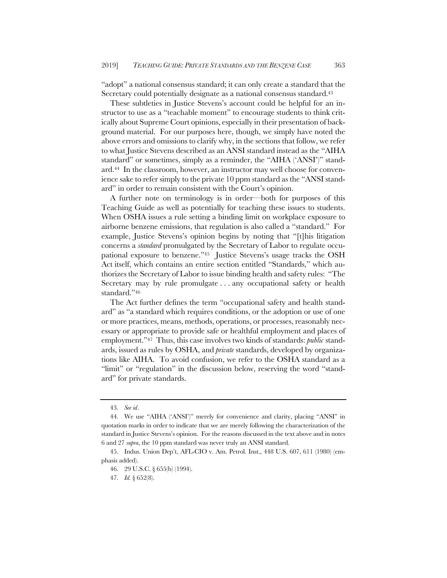"adopt" a national consensus standard; it can only create a standard that the Secretary could potentially designate as a national consensus standard.<sup>43</sup>

These subtleties in Justice Stevens's account could be helpful for an instructor to use as a "teachable moment" to encourage students to think critically about Supreme Court opinions, especially in their presentation of background material. For our purposes here, though, we simply have noted the above errors and omissions to clarify why, in the sections that follow, we refer to what Justice Stevens described as an ANSI standard instead as the "AIHA standard" or sometimes, simply as a reminder, the "AIHA ('ANSI')" standard.44 In the classroom, however, an instructor may well choose for convenience sake to refer simply to the private 10 ppm standard as the "ANSI standard" in order to remain consistent with the Court's opinion.

A further note on terminology is in order—both for purposes of this Teaching Guide as well as potentially for teaching these issues to students. When OSHA issues a rule setting a binding limit on workplace exposure to airborne benzene emissions, that regulation is also called a "standard." For example, Justice Stevens's opinion begins by noting that "[t]his litigation concerns a *standard* promulgated by the Secretary of Labor to regulate occupational exposure to benzene."45 Justice Stevens's usage tracks the OSH Act itself, which contains an entire section entitled "Standards," which authorizes the Secretary of Labor to issue binding health and safety rules: "The Secretary may by rule promulgate . . . any occupational safety or health standard."46

The Act further defines the term "occupational safety and health standard" as "a standard which requires conditions, or the adoption or use of one or more practices, means, methods, operations, or processes, reasonably necessary or appropriate to provide safe or healthful employment and places of employment."47 Thus, this case involves two kinds of standards: *public* standards, issued as rules by OSHA, and *private* standards, developed by organizations like AIHA. To avoid confusion, we refer to the OSHA standard as a "limit" or "regulation" in the discussion below, reserving the word "standard" for private standards.

<sup>43.</sup> *See id*.

<sup>44.</sup> We use "AIHA ('ANSI')" merely for convenience and clarity, placing "ANSI" in quotation marks in order to indicate that we are merely following the characterization of the standard in Justice Stevens's opinion. For the reasons discussed in the text above and in notes 6 and 27 *supra*, the 10 ppm standard was never truly an ANSI standard.

<sup>45.</sup> Indus. Union Dep't, AFL-CIO v. Am. Petrol. Inst., 448 U.S. 607, 611 (1980) (emphasis added).

<sup>46.</sup> 29 U.S.C. § 655(b) (1994).

<sup>47.</sup> *Id.* § 652(8).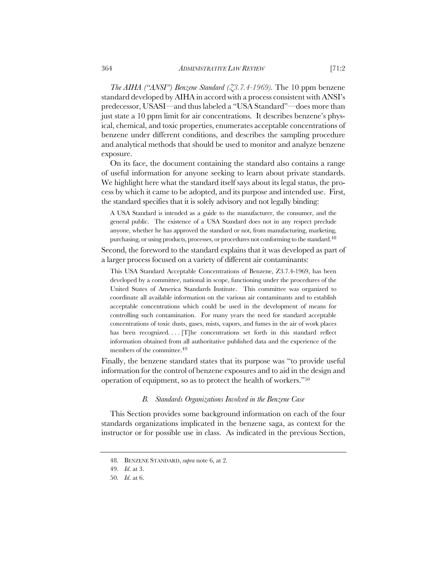*The AIHA ("ANSI") Benzene Standard (Z3.7.4-1969).* The 10 ppm benzene standard developed by AIHA in accord with a process consistent with ANSI's predecessor, USASI—and thus labeled a "USA Standard"—does more than just state a 10 ppm limit for air concentrations. It describes benzene's physical, chemical, and toxic properties, enumerates acceptable concentrations of benzene under different conditions, and describes the sampling procedure and analytical methods that should be used to monitor and analyze benzene exposure.

On its face, the document containing the standard also contains a range of useful information for anyone seeking to learn about private standards. We highlight here what the standard itself says about its legal status, the process by which it came to be adopted, and its purpose and intended use. First, the standard specifies that it is solely advisory and not legally binding:

A USA Standard is intended as a guide to the manufacturer, the consumer, and the general public. The existence of a USA Standard does not in any respect preclude anyone, whether he has approved the standard or not, from manufacturing, marketing, purchasing, or using products, processes, or procedures not conforming to the standard.<sup>48</sup>

Second, the foreword to the standard explains that it was developed as part of a larger process focused on a variety of different air contaminants:

This USA Standard Acceptable Concentrations of Benzene, Z3.7.4-1969, has been developed by a committee, national in scope, functioning under the procedures of the United States of America Standards Institute. This committee was organized to coordinate all available information on the various air contaminants and to establish acceptable concentrations which could be used in the development of means for controlling such contamination. For many years the need for standard acceptable concentrations of toxic dusts, gases, mists, vapors, and fumes in the air of work places has been recognized.... [T]he concentrations set forth in this standard reflect information obtained from all authoritative published data and the experience of the members of the committee.49

Finally, the benzene standard states that its purpose was "to provide useful information for the control of benzene exposures and to aid in the design and operation of equipment, so as to protect the health of workers."50

#### *B. Standards Organizations Involved in the Benzene Case*

This Section provides some background information on each of the four standards organizations implicated in the benzene saga, as context for the instructor or for possible use in class. As indicated in the previous Section,

<sup>48.</sup> BENZENE STANDARD, *supra* note 6, at 2.

<sup>49.</sup> *Id*. at 3.

<sup>50.</sup> *Id*. at 6.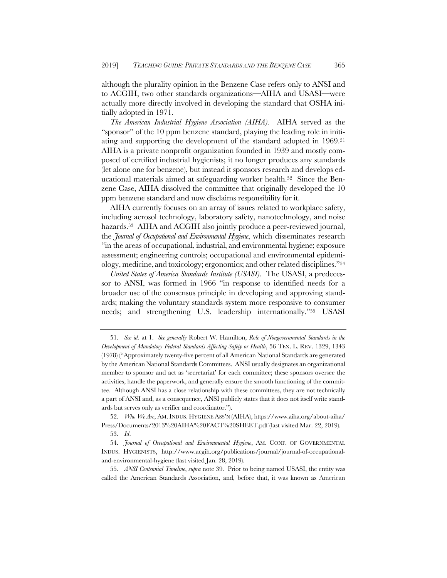although the plurality opinion in the Benzene Case refers only to ANSI and to ACGIH, two other standards organizations—AIHA and USASI—were actually more directly involved in developing the standard that OSHA initially adopted in 1971.

*The American Industrial Hygiene Association (AIHA).* AIHA served as the "sponsor" of the 10 ppm benzene standard, playing the leading role in initiating and supporting the development of the standard adopted in 1969.51 AIHA is a private nonprofit organization founded in 1939 and mostly composed of certified industrial hygienists; it no longer produces any standards (let alone one for benzene), but instead it sponsors research and develops educational materials aimed at safeguarding worker health.<sup>52</sup> Since the Benzene Case, AIHA dissolved the committee that originally developed the 10 ppm benzene standard and now disclaims responsibility for it.

AIHA currently focuses on an array of issues related to workplace safety, including aerosol technology, laboratory safety, nanotechnology, and noise hazards.53 AIHA and ACGIH also jointly produce a peer-reviewed journal, the *Journal of Occupational and Environmental Hygiene*, which disseminates research "in the areas of occupational, industrial, and environmental hygiene; exposure assessment; engineering controls; occupational and environmental epidemiology, medicine, and toxicology; ergonomics; and other related disciplines."54

*United States of America Standards Institute (USASI)*. The USASI, a predecessor to ANSI, was formed in 1966 "in response to identified needs for a broader use of the consensus principle in developing and approving standards; making the voluntary standards system more responsive to consumer needs; and strengthening U.S. leadership internationally."55 USASI

<sup>51.</sup> *See id.* at 1. *See generally* Robert W. Hamilton, *Role of Nongovernmental Standards in the Development of Mandatory Federal Standards Affecting Safety or Health*, 56 TEX. L. REV. 1329, 1343 (1978) ("Approximately twenty-five percent of all American National Standards are generated by the American National Standards Committees. ANSI usually designates an organizational member to sponsor and act as 'secretariat' for each committee; these sponsors oversee the activities, handle the paperwork, and generally ensure the smooth functioning of the committee. Although ANSI has a close relationship with these committees, they are not technically a part of ANSI and, as a consequence, ANSI publicly states that it does not itself write standards but serves only as verifier and coordinator.").

<sup>52.</sup> *Who We Are*, AM.INDUS. HYGIENE ASS'N (AIHA), https://www.aiha.org/about-aiha/ Press/Documents/2013%20AIHA%20FACT%20SHEET.pdf (last visited Mar. 22, 2019).

<sup>53.</sup> *Id*.

<sup>54.</sup> *Journal of Occupational and Environmental Hygiene*, AM. CONF. OF GOVERNMENTAL INDUS. HYGIENISTS, http://www.acgih.org/publications/journal/journal-of-occupationaland-environmental-hygiene (last visited Jan. 28, 2019).

<sup>55.</sup> *ANSI Centennial Timeline*, *supra* note 39. Prior to being named USASI, the entity was called the American Standards Association, and, before that, it was known as American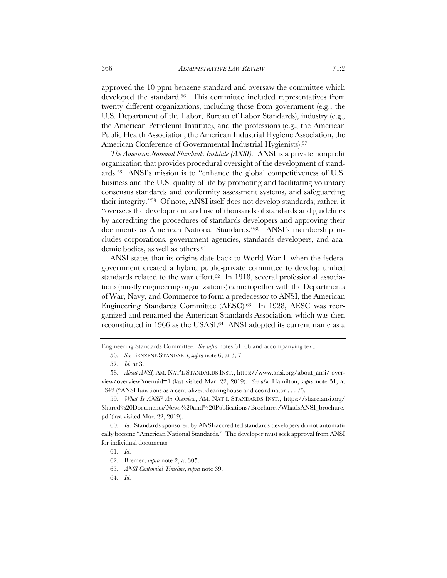approved the 10 ppm benzene standard and oversaw the committee which developed the standard.56 This committee included representatives from twenty different organizations, including those from government (e.g., the U.S. Department of the Labor, Bureau of Labor Standards), industry (e.g., the American Petroleum Institute), and the professions (e.g., the American Public Health Association, the American Industrial Hygiene Association, the American Conference of Governmental Industrial Hygienists).<sup>57</sup>

*The American National Standards Institute (ANSI).* ANSI is a private nonprofit organization that provides procedural oversight of the development of standards.58 ANSI's mission is to "enhance the global competitiveness of U.S. business and the U.S. quality of life by promoting and facilitating voluntary consensus standards and conformity assessment systems, and safeguarding their integrity."59 Of note, ANSI itself does not develop standards; rather, it "oversees the development and use of thousands of standards and guidelines by accrediting the procedures of standards developers and approving their documents as American National Standards."60 ANSI's membership includes corporations, government agencies, standards developers, and academic bodies, as well as others.<sup>61</sup>

ANSI states that its origins date back to World War I, when the federal government created a hybrid public-private committee to develop unified standards related to the war effort.<sup>62</sup> In 1918, several professional associations (mostly engineering organizations) came together with the Departments of War, Navy, and Commerce to form a predecessor to ANSI, the American Engineering Standards Committee (AESC).63 In 1928, AESC was reorganized and renamed the American Standards Association, which was then reconstituted in 1966 as the USASI.64 ANSI adopted its current name as a

Engineering Standards Committee. *See infra* notes 61–66 and accompanying text.

<sup>56.</sup> *See* BENZENE STANDARD, *supra* note 6, at 3, 7.

<sup>57.</sup> *Id.* at 3.

<sup>58.</sup> *About ANSI,* AM. NAT'L STANDARDS INST., https://www.ansi.org/about\_ansi/ overview/overview?menuid=1 (last visited Mar. 22, 2019). *See also* Hamilton, *supra* note 51, at 1342 ("ANSI functions as a centralized clearinghouse and coordinator . . . .").

<sup>59.</sup> *What Is ANSI? An Overview*, AM. NAT'L STANDARDS INST., https://share.ansi.org/ Shared%20Documents/News%20and%20Publications/Brochures/WhatIsANSI\_brochure. pdf (last visited Mar. 22, 2019).

<sup>60.</sup> *Id*. Standards sponsored by ANSI-accredited standards developers do not automatically become "American National Standards." The developer must seek approval from ANSI for individual documents.

<sup>61.</sup> *Id*.

<sup>62.</sup> Bremer, *supra* note 2, at 305.

<sup>63.</sup> *ANSI Centennial Timeline*, *supra* note 39.

<sup>64.</sup> *Id*.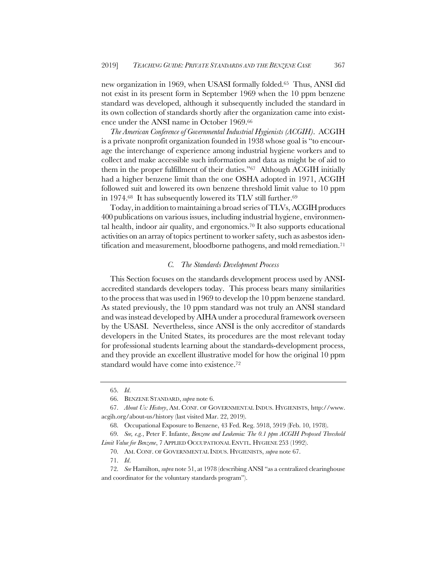new organization in 1969, when USASI formally folded.65 Thus, ANSI did not exist in its present form in September 1969 when the 10 ppm benzene standard was developed, although it subsequently included the standard in its own collection of standards shortly after the organization came into existence under the ANSI name in October 1969.66

*The American Conference of Governmental Industrial Hygienists (ACGIH)*. ACGIH is a private nonprofit organization founded in 1938 whose goal is "to encourage the interchange of experience among industrial hygiene workers and to collect and make accessible such information and data as might be of aid to them in the proper fulfillment of their duties."67 Although ACGIH initially had a higher benzene limit than the one OSHA adopted in 1971, ACGIH followed suit and lowered its own benzene threshold limit value to 10 ppm in 1974.<sup>68</sup> It has subsequently lowered its TLV still further.<sup>69</sup>

Today, in addition to maintaining a broad series of TLVs, ACGIH produces 400 publications on various issues, including industrial hygiene, environmental health, indoor air quality, and ergonomics.70 It also supports educational activities on an array of topics pertinent to worker safety, such as asbestos identification and measurement, bloodborne pathogens, and mold remediation.<sup>71</sup>

## *C. The Standards Development Process*

This Section focuses on the standards development process used by ANSIaccredited standards developers today. This process bears many similarities to the process that was used in 1969 to develop the 10 ppm benzene standard. As stated previously, the 10 ppm standard was not truly an ANSI standard and was instead developed by AIHA under a procedural framework overseen by the USASI. Nevertheless, since ANSI is the only accreditor of standards developers in the United States, its procedures are the most relevant today for professional students learning about the standards-development process, and they provide an excellent illustrative model for how the original 10 ppm standard would have come into existence.<sup>72</sup>

<sup>65.</sup> *Id*.

<sup>66.</sup> BENZENE STANDARD, *supra* note 6.

<sup>67.</sup> *About Us: History*, AM. CONF. OF GOVERNMENTAL INDUS. HYGIENISTS, http://www. acgih.org/about-us/history (last visited Mar. 22, 2019).

<sup>68.</sup> Occupational Exposure to Benzene, 43 Fed. Reg. 5918, 5919 (Feb. 10, 1978).

<sup>69.</sup> *See, e.g.*, Peter F. Infante, *Benzene and Leukemia: The 0.1 ppm ACGIH Proposed Threshold Limit Value for Benzene*, 7 APPLIED OCCUPATIONAL ENVTL. HYGIENE 253 (1992).

<sup>70.</sup> AM. CONF. OF GOVERNMENTAL INDUS. HYGIENISTS, *supra* note 67.

<sup>71.</sup> *Id*.

<sup>72.</sup> *See* Hamilton, *supra* note 51, at 1978 (describing ANSI "as a centralized clearinghouse and coordinator for the voluntary standards program").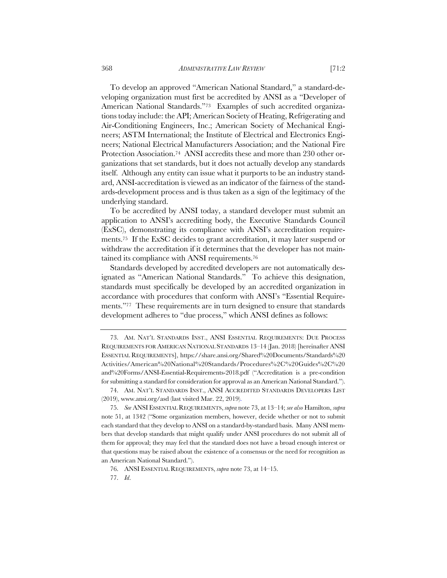To develop an approved "American National Standard," a standard-developing organization must first be accredited by ANSI as a "Developer of American National Standards."73 Examples of such accredited organizations today include: the API; American Society of Heating, Refrigerating and Air-Conditioning Engineers, Inc.; American Society of Mechanical Engineers; ASTM International; the Institute of Electrical and Electronics Engineers; National Electrical Manufacturers Association; and the National Fire Protection Association.74 ANSI accredits these and more than 230 other organizations that set standards, but it does not actually develop any standards itself. Although any entity can issue what it purports to be an industry standard, ANSI-accreditation is viewed as an indicator of the fairness of the standards-development process and is thus taken as a sign of the legitimacy of the underlying standard.

To be accredited by ANSI today, a standard developer must submit an application to ANSI's accrediting body, the Executive Standards Council (ExSC), demonstrating its compliance with ANSI's accreditation requirements.75 If the ExSC decides to grant accreditation, it may later suspend or withdraw the accreditation if it determines that the developer has not maintained its compliance with ANSI requirements.76

Standards developed by accredited developers are not automatically designated as "American National Standards." To achieve this designation, standards must specifically be developed by an accredited organization in accordance with procedures that conform with ANSI's "Essential Requirements."<sup>77</sup> These requirements are in turn designed to ensure that standards development adheres to "due process," which ANSI defines as follows:

<sup>73.</sup> AM. NAT'L STANDARDS INST., ANSI ESSENTIAL REQUIREMENTS: DUE PROCESS REQUIREMENTS FOR AMERICAN NATIONAL STANDARDS 13–14 (Jan. 2018) [hereinafter ANSI ESSENTIAL REQUIREMENTS], https://share.ansi.org/Shared%20Documents/Standards%20 Activities/American%20National%20Standards/Procedures%2C%20Guides%2C%20 and%20Forms/ANSI-Essential-Requirements-2018.pdf ("Accreditation is a pre-condition for submitting a standard for consideration for approval as an American National Standard.").

<sup>74.</sup> AM. NAT'L STANDARDS INST., ANSI ACCREDITED STANDARDS DEVELOPERS LIST (2019), www.ansi.org/asd (last visited Mar. 22, 2019).

<sup>75.</sup> *See* ANSI ESSENTIAL REQUIREMENTS, *supra* note 73, at 13–14; *see also* Hamilton, *supra* note 51, at 1342 ("Some organization members, however, decide whether or not to submit each standard that they develop to ANSI on a standard-by-standard basis. Many ANSI members that develop standards that might qualify under ANSI procedures do not submit all of them for approval; they may feel that the standard does not have a broad enough interest or that questions may be raised about the existence of a consensus or the need for recognition as an American National Standard.").

<sup>76.</sup> ANSI ESSENTIAL REQUIREMENTS, *supra* note 73, at 14–15.

<sup>77.</sup> *Id*.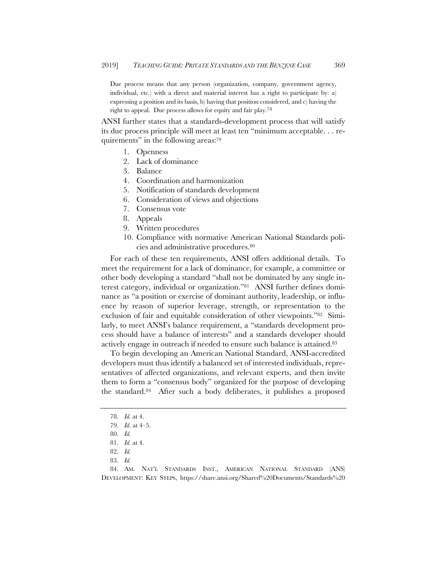Due process means that any person (organization, company, government agency, individual, etc.) with a direct and material interest has a right to participate by: a) expressing a position and its basis, b) having that position considered, and c) having the right to appeal. Due process allows for equity and fair play.78

ANSI further states that a standards-development process that will satisfy its due process principle will meet at least ten "minimum acceptable. . . requirements" in the following areas:79

- 1. Openness
- 2. Lack of dominance
- 3. Balance
- 4. Coordination and harmonization
- 5. Notification of standards development
- 6. Consideration of views and objections
- 7. Consensus vote
- 8. Appeals
- 9. Written procedures
- 10. Compliance with normative American National Standards policies and administrative procedures.80

For each of these ten requirements, ANSI offers additional details. To meet the requirement for a lack of dominance, for example, a committee or other body developing a standard "shall not be dominated by any single interest category, individual or organization."81 ANSI further defines dominance as "a position or exercise of dominant authority, leadership, or influence by reason of superior leverage, strength, or representation to the exclusion of fair and equitable consideration of other viewpoints."82 Similarly, to meet ANSI's balance requirement, a "standards development process should have a balance of interests" and a standards developer should actively engage in outreach if needed to ensure such balance is attained.83

To begin developing an American National Standard, ANSI-accredited developers must thus identify a balanced set of interested individuals, representatives of affected organizations, and relevant experts, and then invite them to form a "consensus body" organized for the purpose of developing the standard.84 After such a body deliberates, it publishes a proposed

83. *Id.*

<sup>78.</sup> *Id.* at 4.

<sup>79.</sup> *Id*. at 4–5.

<sup>80.</sup> *Id.* 

<sup>81.</sup> *Id.* at 4.

<sup>82.</sup> *Id.*

<sup>84.</sup> AM. NAT'L STANDARDS INST., AMERICAN NATIONAL STANDARD (ANS) DEVELOPMENT: KEY STEPS, https://share.ansi.org/Shared%20Documents/Standards%20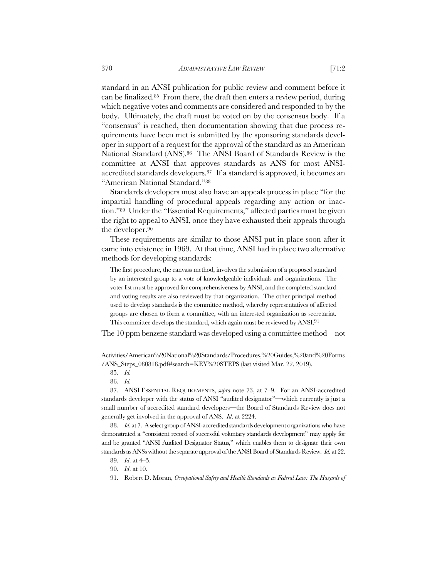standard in an ANSI publication for public review and comment before it can be finalized.85 From there, the draft then enters a review period, during which negative votes and comments are considered and responded to by the body. Ultimately, the draft must be voted on by the consensus body. If a "consensus" is reached, then documentation showing that due process requirements have been met is submitted by the sponsoring standards developer in support of a request for the approval of the standard as an American National Standard (ANS).86 The ANSI Board of Standards Review is the committee at ANSI that approves standards as ANS for most ANSIaccredited standards developers.87 If a standard is approved, it becomes an "American National Standard."88

Standards developers must also have an appeals process in place "for the impartial handling of procedural appeals regarding any action or inaction."89 Under the "Essential Requirements," affected parties must be given the right to appeal to ANSI, once they have exhausted their appeals through the developer.90

These requirements are similar to those ANSI put in place soon after it came into existence in 1969. At that time, ANSI had in place two alternative methods for developing standards:

The first procedure, the canvass method, involves the submission of a proposed standard by an interested group to a vote of knowledgeable individuals and organizations. The voter list must be approved for comprehensiveness by ANSI, and the completed standard and voting results are also reviewed by that organization. The other principal method used to develop standards is the committee method, whereby representatives of affected groups are chosen to form a committee, with an interested organization as secretariat. This committee develops the standard, which again must be reviewed by ANSI.<sup>91</sup>

The 10 ppm benzene standard was developed using a committee method—not

Activities/American%20National%20Standards/Procedures,%20Guides,%20and%20Forms /ANS\_Steps\_080818.pdf#search=KEY%20STEPS (last visited Mar. 22, 2019).

<sup>85.</sup> *Id.*

<sup>86.</sup> *Id.*

<sup>87.</sup> ANSI ESSENTIAL REQUIREMENTS, *supra* note 73, at 7–9. For an ANSI-accredited standards developer with the status of ANSI "audited designator"—which currently is just a small number of accredited standard developers—the Board of Standards Review does not generally get involved in the approval of ANS. *Id*. at 2224.

<sup>88.</sup> *Id.* at 7. A select group of ANSI-accredited standards development organizations who have demonstrated a "consistent record of successful voluntary standards development" may apply for and be granted "ANSI Audited Designator Status," which enables them to designate their own standards as ANSs without the separate approval of the ANSI Board of Standards Review. *Id*. at 22.

<sup>89.</sup> *Id*. at 4–5.

<sup>90.</sup> *Id*. at 10.

<sup>91.</sup> Robert D. Moran, *Occupational Safety and Health Standards as Federal Law: The Hazards of*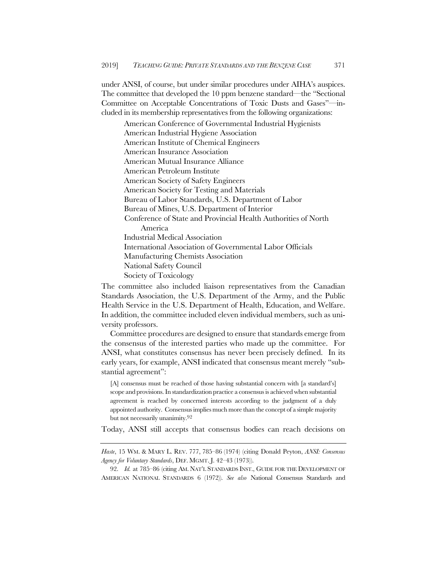under ANSI, of course, but under similar procedures under AIHA's auspices. The committee that developed the 10 ppm benzene standard—the "Sectional Committee on Acceptable Concentrations of Toxic Dusts and Gases"—included in its membership representatives from the following organizations:

American Conference of Governmental Industrial Hygienists American Industrial Hygiene Association American Institute of Chemical Engineers American Insurance Association American Mutual Insurance Alliance American Petroleum Institute American Society of Safety Engineers American Society for Testing and Materials Bureau of Labor Standards, U.S. Department of Labor Bureau of Mines, U.S. Department of Interior Conference of State and Provincial Health Authorities of North America Industrial Medical Association International Association of Governmental Labor Officials Manufacturing Chemists Association National Safety Council Society of Toxicology

The committee also included liaison representatives from the Canadian Standards Association, the U.S. Department of the Army, and the Public Health Service in the U.S. Department of Health, Education, and Welfare. In addition, the committee included eleven individual members, such as university professors.

Committee procedures are designed to ensure that standards emerge from the consensus of the interested parties who made up the committee. For ANSI, what constitutes consensus has never been precisely defined. In its early years, for example, ANSI indicated that consensus meant merely "substantial agreement":

[A] consensus must be reached of those having substantial concern with [a standard's] scope and provisions. In standardization practice a consensus is achieved when substantial agreement is reached by concerned interests according to the judgment of a duly appointed authority. Consensus implies much more than the concept of a simple majority but not necessarily unanimity.92

Today, ANSI still accepts that consensus bodies can reach decisions on

*Haste*, 15 WM. & MARY L. REV. 777, 785–86 (1974) (citing Donald Peyton, *ANSI: Consensus Agency for Voluntary Standards*, DEF. MGMT. J. 42–43 (1973)).

<sup>92.</sup> *Id.* at 785–86 (citing AM. NAT'L STANDARDS INST., GUIDE FOR THE DEVELOPMENT OF AMERICAN NATIONAL STANDARDS 6 (1972)). *See also* National Consensus Standards and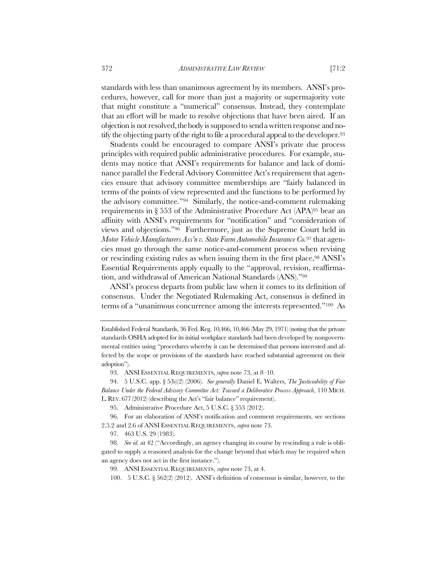standards with less than unanimous agreement by its members. ANSI's procedures, however, call for more than just a majority or supermajority vote that might constitute a "numerical" consensus. Instead, they contemplate that an effort will be made to resolve objections that have been aired. If an objection is not resolved, the body is supposed to send a written response and notify the objecting party of the right to file a procedural appeal to the developer.93

Students could be encouraged to compare ANSI's private due process principles with required public administrative procedures. For example, students may notice that ANSI's requirements for balance and lack of dominance parallel the Federal Advisory Committee Act's requirement that agencies ensure that advisory committee memberships are "fairly balanced in terms of the points of view represented and the functions to be performed by the advisory committee."94 Similarly, the notice-and-comment rulemaking requirements in § 553 of the Administrative Procedure Act (APA)95 bear an affinity with ANSI's requirements for "notification" and "consideration of views and objections."96 Furthermore, just as the Supreme Court held in *Motor Vehicle Manufacturers Ass'n v. State Farm Automobile Insurance Co.*<sup>97</sup> that agencies must go through the same notice-and-comment process when revising or rescinding existing rules as when issuing them in the first place,98 ANSI's Essential Requirements apply equally to the "approval, revision, reaffirmation, and withdrawal of American National Standards (ANS)."99

ANSI's process departs from public law when it comes to its definition of consensus. Under the Negotiated Rulemaking Act, consensus is defined in terms of a "unanimous concurrence among the interests represented."100 As

95. Administrative Procedure Act, 5 U.S.C. § 553 (2012).

96. For an elaboration of ANSI's notification and comment requirements, see sections 2.5.2 and 2.6 of ANSI ESSENTIAL REQUIREMENTS, *supra* note 73.

Established Federal Standards, 36 Fed. Reg. 10,466, 10,466 (May 29, 1971) (noting that the private standards OSHA adopted for its initial workplace standards had been developed by nongovernmental entities using "procedures whereby it can be determined that persons interested and affected by the scope or provisions of the standards have reached substantial agreement on their adoption").

<sup>93.</sup> ANSI ESSENTIAL REQUIREMENTS, *supra* note 73, at 8–10.

<sup>94.</sup> 5 U.S.C. app. § 5(b)(2) (2006). *See generally* Daniel E. Walters, *The Justiciability of Fair Balance Under the Federal Advisory Committee Act: Toward a Deliberative Process Approach*, 110 MICH. L. REV. 677 (2012) (describing the Act's "fair balance" requirement).

<sup>97.</sup> 463 U.S. 29 (1983).

<sup>98.</sup> *See id.* at 42 ("Accordingly, an agency changing its course by rescinding a rule is obligated to supply a reasoned analysis for the change beyond that which may be required when an agency does not act in the first instance.").

<sup>99.</sup> ANSI ESSENTIAL REQUIREMENTS, *supra* note 73, at 4.

<sup>100.</sup> 5 U.S.C. § 562(2) (2012). ANSI's definition of consensus is similar, however, to the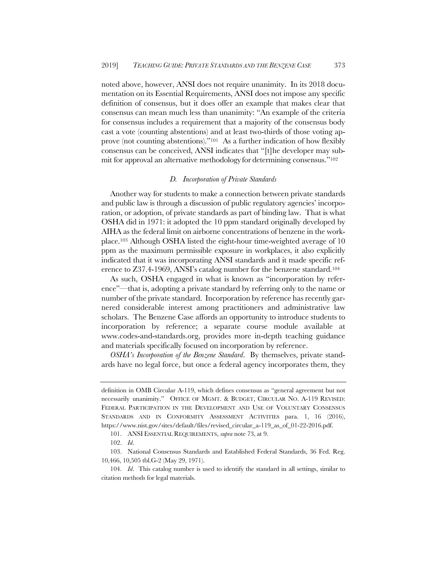noted above, however, ANSI does not require unanimity. In its 2018 documentation on its Essential Requirements, ANSI does not impose any specific definition of consensus, but it does offer an example that makes clear that consensus can mean much less than unanimity: "An example of the criteria for consensus includes a requirement that a majority of the consensus body cast a vote (counting abstentions) and at least two-thirds of those voting approve (not counting abstentions)."101 As a further indication of how flexibly consensus can be conceived, ANSI indicates that "[t]he developer may submit for approval an alternative methodology for determining consensus."102

#### *D. Incorporation of Private Standards*

Another way for students to make a connection between private standards and public law is through a discussion of public regulatory agencies' incorporation, or adoption, of private standards as part of binding law. That is what OSHA did in 1971: it adopted the 10 ppm standard originally developed by AIHA as the federal limit on airborne concentrations of benzene in the workplace.103 Although OSHA listed the eight-hour time-weighted average of 10 ppm as the maximum permissible exposure in workplaces, it also explicitly indicated that it was incorporating ANSI standards and it made specific reference to Z37.4-1969, ANSI's catalog number for the benzene standard.104

As such, OSHA engaged in what is known as "incorporation by reference"—that is, adopting a private standard by referring only to the name or number of the private standard. Incorporation by reference has recently garnered considerable interest among practitioners and administrative law scholars. The Benzene Case affords an opportunity to introduce students to incorporation by reference; a separate course module available at www.codes-and-standards.org, provides more in-depth teaching guidance and materials specifically focused on incorporation by reference.

*OSHA's Incorporation of the Benzene Standard*. By themselves, private standards have no legal force, but once a federal agency incorporates them, they

definition in OMB Circular A-119, which defines consensus as "general agreement but not necessarily unanimity." OFFICE OF MGMT. & BUDGET, CIRCULAR NO. A-119 REVISED: FEDERAL PARTICIPATION IN THE DEVELOPMENT AND USE OF VOLUNTARY CONSENSUS STANDARDS AND IN CONFORMITY ASSESSMENT ACTIVITIES para. 1, 16 (2016), https://www.nist.gov/sites/default/files/revised\_circular\_a-119\_as\_of\_01-22-2016.pdf.

<sup>101.</sup> ANSI ESSENTIAL REQUIREMENTS, *supra* note 73, at 9.

<sup>102.</sup> *Id*.

<sup>103.</sup> National Consensus Standards and Established Federal Standards, 36 Fed. Reg. 10,466, 10,505 tbl.G-2 (May 29, 1971).

<sup>104.</sup> *Id*. This catalog number is used to identify the standard in all settings, similar to citation methods for legal materials.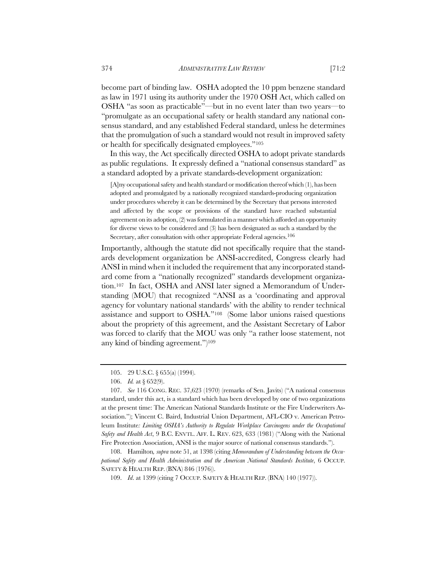become part of binding law. OSHA adopted the 10 ppm benzene standard as law in 1971 using its authority under the 1970 OSH Act, which called on OSHA "as soon as practicable"—but in no event later than two years—to "promulgate as an occupational safety or health standard any national consensus standard, and any established Federal standard, unless he determines that the promulgation of such a standard would not result in improved safety or health for specifically designated employees."105

In this way, the Act specifically directed OSHA to adopt private standards as public regulations. It expressly defined a "national consensus standard" as a standard adopted by a private standards-development organization:

[A]ny occupational safety and health standard or modification thereof which (1), has been adopted and promulgated by a nationally recognized standards-producing organization under procedures whereby it can be determined by the Secretary that persons interested and affected by the scope or provisions of the standard have reached substantial agreement on its adoption, (2) was formulated in a manner which afforded an opportunity for diverse views to be considered and (3) has been designated as such a standard by the Secretary, after consultation with other appropriate Federal agencies.<sup>106</sup>

Importantly, although the statute did not specifically require that the standards development organization be ANSI-accredited, Congress clearly had ANSI in mind when it included the requirement that any incorporated standard come from a "nationally recognized" standards development organization.107 In fact, OSHA and ANSI later signed a Memorandum of Understanding (MOU) that recognized "ANSI as a 'coordinating and approval agency for voluntary national standards' with the ability to render technical assistance and support to OSHA."108 (Some labor unions raised questions about the propriety of this agreement, and the Assistant Secretary of Labor was forced to clarify that the MOU was only "a rather loose statement, not any kind of binding agreement.")109

108. Hamilton*, supra* note 51, at 1398 (citing *Memorandum of Understanding between the Occupational Safety and Health Administration and the American National Standards Institute*, 6 OCCUP. SAFETY & HEALTH REP. (BNA) 846 (1976)).

<sup>105.</sup> 29 U.S.C. § 655(a) (1994).

<sup>106.</sup> *Id.* at § 652(9).

<sup>107.</sup> *See* 116 CONG. REC. 37,623 (1970) (remarks of Sen. Javits) ("A national consensus standard, under this act, is a standard which has been developed by one of two organizations at the present time: The American National Standards Institute or the Fire Underwriters Association."); Vincent C. Baird, Industrial Union Department, AFL-CIO v. American Petroleum Institute: Limiting OSHA's Authority to Regulate Workplace Carcinogens under the Occupational *Safety and Health Act*, 9 B.C. ENVTL. AFF. L. REV. 623, 633 (1981) ("Along with the National Fire Protection Association, ANSI is the major source of national consensus standards.").

<sup>109.</sup> *Id*. at 1399 (citing 7 OCCUP. SAFETY & HEALTH REP. (BNA) 140 (1977)).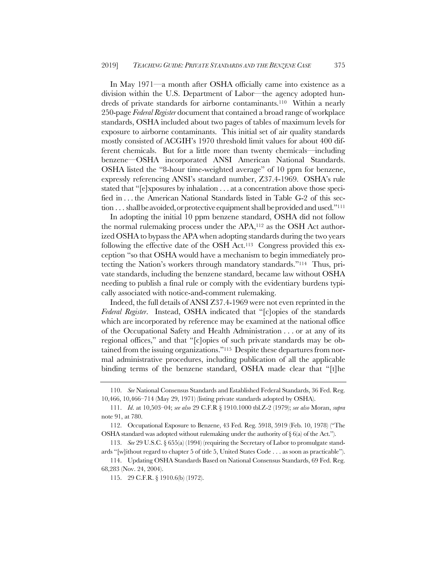In May 1971—a month after OSHA officially came into existence as a division within the U.S. Department of Labor—the agency adopted hundreds of private standards for airborne contaminants.110 Within a nearly 250-page *Federal Register* document that contained a broad range of workplace standards, OSHA included about two pages of tables of maximum levels for exposure to airborne contaminants. This initial set of air quality standards mostly consisted of ACGIH's 1970 threshold limit values for about 400 different chemicals. But for a little more than twenty chemicals—including benzene—OSHA incorporated ANSI American National Standards. OSHA listed the "8-hour time-weighted average" of 10 ppm for benzene, expressly referencing ANSI's standard number, Z37.4-1969. OSHA's rule stated that "[e]xposures by inhalation . . . at a concentration above those specified in . . . the American National Standards listed in Table G-2 of this section  $\dots$  shall be avoided, or protective equipment shall be provided and used."<sup>111</sup>

In adopting the initial 10 ppm benzene standard, OSHA did not follow the normal rulemaking process under the APA,112 as the OSH Act authorized OSHA to bypass the APA when adopting standards during the two years following the effective date of the OSH Act.113 Congress provided this exception "so that OSHA would have a mechanism to begin immediately protecting the Nation's workers through mandatory standards."114 Thus, private standards, including the benzene standard, became law without OSHA needing to publish a final rule or comply with the evidentiary burdens typically associated with notice-and-comment rulemaking.

Indeed, the full details of ANSI Z37.4-1969 were not even reprinted in the *Federal Register*. Instead, OSHA indicated that "[c]opies of the standards which are incorporated by reference may be examined at the national office of the Occupational Safety and Health Administration . . . or at any of its regional offices," and that "[c]opies of such private standards may be obtained from the issuing organizations."115 Despite these departures from normal administrative procedures, including publication of all the applicable binding terms of the benzene standard, OSHA made clear that "[t]he

<sup>110.</sup> *See* National Consensus Standards and Established Federal Standards, 36 Fed. Reg. 10,466, 10,466–714 (May 29, 1971) (listing private standards adopted by OSHA).

<sup>111.</sup> *Id*. at 10,503–04; *see also* 29 C.F.R § 1910.1000 tbl.Z-2 (1979); *see also* Moran, *supra* note 91, at 780.

<sup>112.</sup> Occupational Exposure to Benzene, 43 Fed. Reg. 5918, 5919 (Feb. 10, 1978) ("The OSHA standard was adopted without rulemaking under the authority of  $\S$  6(a) of the Act.").

<sup>113.</sup> *See* 29 U.S.C. § 655(a) (1994) (requiring the Secretary of Labor to promulgate standards "[w]ithout regard to chapter 5 of title 5, United States Code . . . as soon as practicable").

<sup>114.</sup> Updating OSHA Standards Based on National Consensus Standards, 69 Fed. Reg. 68,283 (Nov. 24, 2004).

<sup>115.</sup> 29 C.F.R. § 1910.6(b) (1972).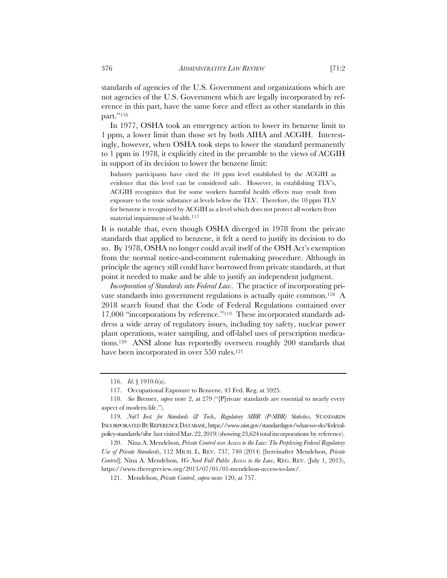standards of agencies of the U.S. Government and organizations which are not agencies of the U.S. Government which are legally incorporated by reference in this part, have the same force and effect as other standards in this part."<sup>116</sup>

In 1977, OSHA took an emergency action to lower its benzene limit to 1 ppm, a lower limit than those set by both AIHA and ACGIH. Interestingly, however, when OSHA took steps to lower the standard permanently to 1 ppm in 1978, it explicitly cited in the preamble to the views of ACGIH in support of its decision to lower the benzene limit:

Industry participants have cited the 10 ppm level established by the ACGIH as evidence that this level can be considered safe. However, in establishing TLV's, ACGIH recognizes that for some workers harmful health effects may result from exposure to the toxic substance at levels below the TLV. Therefore, the 10 ppm TLV for benzene is recognized by ACGIH as a level which does not protect all workers from material impairment of health.<sup>117</sup>

It is notable that, even though OSHA diverged in 1978 from the private standards that applied to benzene, it felt a need to justify its decision to do so. By 1978, OSHA no longer could avail itself of the OSH Act's exemption from the normal notice-and-comment rulemaking procedure. Although in principle the agency still could have borrowed from private standards, at that point it needed to make and be able to justify an independent judgment.

*Incorporation of Standards into Federal Law*. The practice of incorporating private standards into government regulations is actually quite common.118 A 2018 search found that the Code of Federal Regulations contained over 17,000 "incorporations by reference."119 These incorporated standards address a wide array of regulatory issues, including toy safety, nuclear power plant operations, water sampling, and off-label uses of prescription medications.120 ANSI alone has reportedly overseen roughly 200 standards that have been incorporated in over 550 rules.<sup>121</sup>

<sup>116.</sup> *Id*. § 1910.6(a).

<sup>117.</sup> Occupational Exposure to Benzene, 43 Fed. Reg. at 5925.

<sup>118.</sup> *See* Bremer, *supra* note 2, at 279 ("[P]rivate standards are essential to nearly every aspect of modern life.").

<sup>119.</sup> *Nat'l Inst. for Standards & Tech., Regulatory SIBR (P-SIBR) Statistics*, STANDARDS INCORPORATED BY REFERENCE DATABASE, https://www.nist.gov/standardsgov/what-we-do/federalpolicy-standards/sibr (last visited Mar. 22, 2019) (showing 23,624 total incorporations by reference).

<sup>120.</sup> Nina A. Mendelson, *Private Control over Access to the Law: The Perplexing Federal Regulatory Use of Private Standards*, 112 MICH. L. REV. 737, 740 (2014) [hereinafter Mendelson, *Private Control*]; Nina A. Mendelson, *We Need Full Public Access to the Law*, REG. REV. (July 1, 2015), https://www.theregreview.org/2013/07/01/01-mendelson-access-to-law/.

<sup>121.</sup> Mendelson, *Private Control*, *supra* note 120, at 757.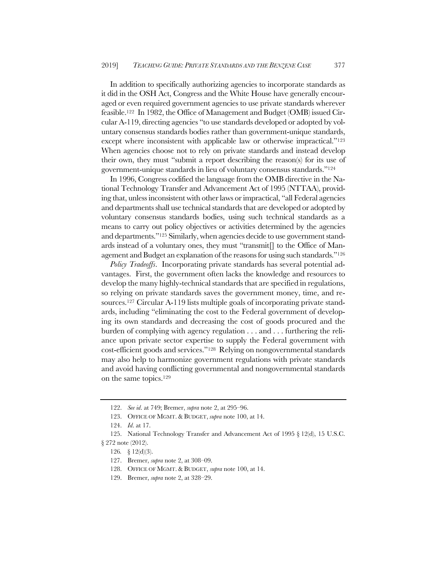In addition to specifically authorizing agencies to incorporate standards as it did in the OSH Act, Congress and the White House have generally encouraged or even required government agencies to use private standards wherever feasible.122 In 1982, the Office of Management and Budget (OMB) issued Circular A-119, directing agencies "to use standards developed or adopted by voluntary consensus standards bodies rather than government-unique standards, except where inconsistent with applicable law or otherwise impractical."123 When agencies choose not to rely on private standards and instead develop their own, they must "submit a report describing the reason(s) for its use of government-unique standards in lieu of voluntary consensus standards."124

In 1996, Congress codified the language from the OMB directive in the National Technology Transfer and Advancement Act of 1995 (NTTAA), providing that, unless inconsistent with other laws or impractical, "all Federal agencies and departments shall use technical standards that are developed or adopted by voluntary consensus standards bodies, using such technical standards as a means to carry out policy objectives or activities determined by the agencies and departments."125 Similarly, when agencies decide to use government standards instead of a voluntary ones, they must "transmit[] to the Office of Management and Budget an explanation of the reasons for using such standards."126

*Policy Tradeoffs*. Incorporating private standards has several potential advantages. First, the government often lacks the knowledge and resources to develop the many highly-technical standards that are specified in regulations, so relying on private standards saves the government money, time, and resources.127 Circular A-119 lists multiple goals of incorporating private standards, including "eliminating the cost to the Federal government of developing its own standards and decreasing the cost of goods procured and the burden of complying with agency regulation . . . and . . . furthering the reliance upon private sector expertise to supply the Federal government with cost-efficient goods and services."128 Relying on nongovernmental standards may also help to harmonize government regulations with private standards and avoid having conflicting governmental and nongovernmental standards on the same topics.129

<sup>122.</sup> *See id*. at 749; Bremer, *supra* note 2, at 295–96.

<sup>123.</sup> OFFICE OF MGMT. & BUDGET, *supra* note 100, at 14.

<sup>124.</sup> *Id*. at 17.

<sup>125.</sup> National Technology Transfer and Advancement Act of 1995 § 12(d), 15 U.S.C. § 272 note (2012).

<sup>126</sup>*.* § 12(d)(3).

<sup>127.</sup> Bremer, *supra* note 2, at 308–09.

<sup>128.</sup> OFFICE OF MGMT. & BUDGET, *supra* note 100, at 14.

<sup>129.</sup> Bremer, *supra* note 2, at 328–29.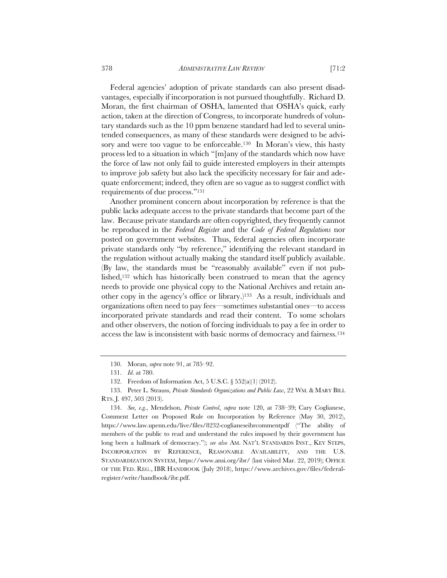Federal agencies' adoption of private standards can also present disadvantages, especially if incorporation is not pursued thoughtfully. Richard D. Moran, the first chairman of OSHA, lamented that OSHA's quick, early action, taken at the direction of Congress, to incorporate hundreds of voluntary standards such as the 10 ppm benzene standard had led to several unintended consequences, as many of these standards were designed to be advisory and were too vague to be enforceable.<sup>130</sup> In Moran's view, this hasty process led to a situation in which "[m]any of the standards which now have the force of law not only fail to guide interested employers in their attempts to improve job safety but also lack the specificity necessary for fair and adequate enforcement; indeed, they often are so vague as to suggest conflict with requirements of due process."131

Another prominent concern about incorporation by reference is that the public lacks adequate access to the private standards that become part of the law. Because private standards are often copyrighted, they frequently cannot be reproduced in the *Federal Register* and the *Code of Federal Regulations* nor posted on government websites. Thus, federal agencies often incorporate private standards only "by reference," identifying the relevant standard in the regulation without actually making the standard itself publicly available. (By law, the standards must be "reasonably available" even if not published,132 which has historically been construed to mean that the agency needs to provide one physical copy to the National Archives and retain another copy in the agency's office or library.)133 As a result, individuals and organizations often need to pay fees—sometimes substantial ones—to access incorporated private standards and read their content. To some scholars and other observers, the notion of forcing individuals to pay a fee in order to access the law is inconsistent with basic norms of democracy and fairness.134

<sup>130.</sup> Moran, *supra* note 91, at 785–92.

<sup>131.</sup> *Id*. at 780.

<sup>132.</sup> Freedom of Information Act, 5 U.S.C. § 552(a)(1) (2012).

<sup>133.</sup> Peter L. Strauss, *Private Standards Organizations and Public Law*, 22 WM. & MARY BILL RTS. J. 497, 503 (2013).

<sup>134.</sup> *See, e.g.*, Mendelson, *Private Control*, *supra* note 120, at 738–39; Cary Coglianese, Comment Letter on Proposed Rule on Incorporation by Reference (May 30, 2012), https://www.law.upenn.edu/live/files/8232-coglianeseibrcommentpdf ("The ability of members of the public to read and understand the rules imposed by their government has long been a hallmark of democracy."); *see also* AM. NAT'L STANDARDS INST., KEY STEPS, INCORPORATION BY REFERENCE, REASONABLE AVAILABILITY, AND THE U.S. STANDARDIZATION SYSTEM, https://www.ansi.org/ibr/ (last visited Mar. 22, 2019); OFFICE OF THE FED. REG., IBR HANDBOOK (July 2018), https://www.archives.gov/files/federalregister/write/handbook/ibr.pdf.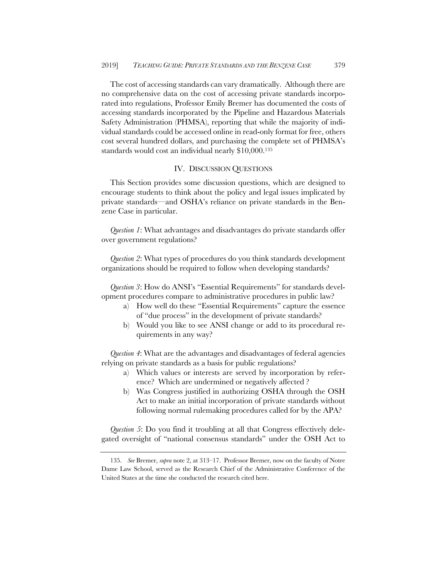The cost of accessing standards can vary dramatically. Although there are no comprehensive data on the cost of accessing private standards incorporated into regulations, Professor Emily Bremer has documented the costs of accessing standards incorporated by the Pipeline and Hazardous Materials Safety Administration (PHMSA), reporting that while the majority of individual standards could be accessed online in read-only format for free, others cost several hundred dollars, and purchasing the complete set of PHMSA's standards would cost an individual nearly \$10,000.135

## IV. DISCUSSION QUESTIONS

This Section provides some discussion questions, which are designed to encourage students to think about the policy and legal issues implicated by private standards—and OSHA's reliance on private standards in the Benzene Case in particular.

*Question 1*: What advantages and disadvantages do private standards offer over government regulations?

*Question 2*: What types of procedures do you think standards development organizations should be required to follow when developing standards?

*Question 3*: How do ANSI's "Essential Requirements" for standards development procedures compare to administrative procedures in public law?

- a) How well do these "Essential Requirements" capture the essence of "due process" in the development of private standards?
- b) Would you like to see ANSI change or add to its procedural requirements in any way?

*Question 4*: What are the advantages and disadvantages of federal agencies relying on private standards as a basis for public regulations?

- a) Which values or interests are served by incorporation by reference? Which are undermined or negatively affected ?
- b) Was Congress justified in authorizing OSHA through the OSH Act to make an initial incorporation of private standards without following normal rulemaking procedures called for by the APA?

*Question 5*: Do you find it troubling at all that Congress effectively delegated oversight of "national consensus standards" under the OSH Act to

<sup>135.</sup> *See* Bremer, *supra* note 2, at 313–17. Professor Bremer, now on the faculty of Notre Dame Law School, served as the Research Chief of the Administrative Conference of the United States at the time she conducted the research cited here.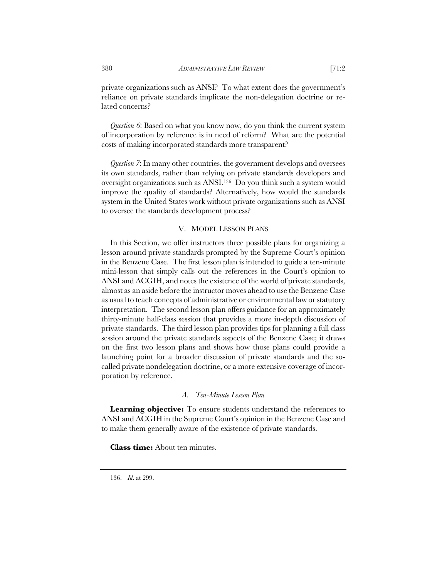*Question 6*: Based on what you know now, do you think the current system of incorporation by reference is in need of reform? What are the potential costs of making incorporated standards more transparent?

*Question 7*: In many other countries, the government develops and oversees its own standards, rather than relying on private standards developers and oversight organizations such as ANSI.136 Do you think such a system would improve the quality of standards? Alternatively, how would the standards system in the United States work without private organizations such as ANSI to oversee the standards development process?

## V. MODEL LESSON PLANS

In this Section, we offer instructors three possible plans for organizing a lesson around private standards prompted by the Supreme Court's opinion in the Benzene Case. The first lesson plan is intended to guide a ten-minute mini-lesson that simply calls out the references in the Court's opinion to ANSI and ACGIH, and notes the existence of the world of private standards, almost as an aside before the instructor moves ahead to use the Benzene Case as usual to teach concepts of administrative or environmental law or statutory interpretation. The second lesson plan offers guidance for an approximately thirty-minute half-class session that provides a more in-depth discussion of private standards. The third lesson plan provides tips for planning a full class session around the private standards aspects of the Benzene Case; it draws on the first two lesson plans and shows how those plans could provide a launching point for a broader discussion of private standards and the socalled private nondelegation doctrine, or a more extensive coverage of incorporation by reference.

#### *A. Ten-Minute Lesson Plan*

**Learning objective:** To ensure students understand the references to ANSI and ACGIH in the Supreme Court's opinion in the Benzene Case and to make them generally aware of the existence of private standards.

**Class time:** About ten minutes.

136. *Id*. at 299.

lated concerns?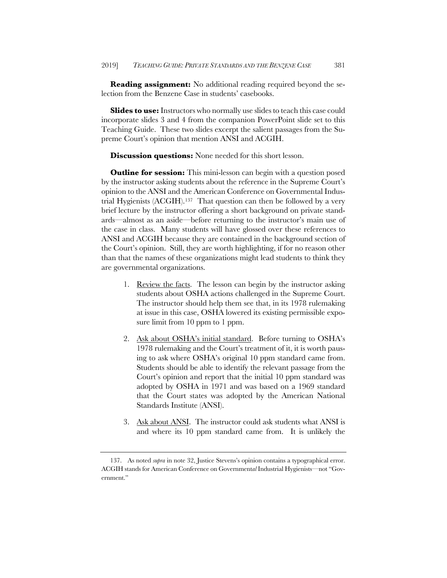**Reading assignment:** No additional reading required beyond the selection from the Benzene Case in students' casebooks.

**Slides to use:** Instructors who normally use slides to teach this case could incorporate slides 3 and 4 from the companion PowerPoint slide set to this Teaching Guide. These two slides excerpt the salient passages from the Supreme Court's opinion that mention ANSI and ACGIH.

### **Discussion questions:** None needed for this short lesson.

**Outline for session:** This mini-lesson can begin with a question posed by the instructor asking students about the reference in the Supreme Court's opinion to the ANSI and the American Conference on Governmental Industrial Hygienists (ACGIH).137 That question can then be followed by a very brief lecture by the instructor offering a short background on private standards—almost as an aside—before returning to the instructor's main use of the case in class. Many students will have glossed over these references to ANSI and ACGIH because they are contained in the background section of the Court's opinion. Still, they are worth highlighting, if for no reason other than that the names of these organizations might lead students to think they are governmental organizations.

- 1. Review the facts. The lesson can begin by the instructor asking students about OSHA actions challenged in the Supreme Court. The instructor should help them see that, in its 1978 rulemaking at issue in this case, OSHA lowered its existing permissible exposure limit from 10 ppm to 1 ppm.
- 2. Ask about OSHA's initial standard. Before turning to OSHA's 1978 rulemaking and the Court's treatment of it, it is worth pausing to ask where OSHA's original 10 ppm standard came from. Students should be able to identify the relevant passage from the Court's opinion and report that the initial 10 ppm standard was adopted by OSHA in 1971 and was based on a 1969 standard that the Court states was adopted by the American National Standards Institute (ANSI).
- 3. Ask about ANSI. The instructor could ask students what ANSI is and where its 10 ppm standard came from. It is unlikely the

<sup>137.</sup> As noted *supra* in note 32, Justice Stevens's opinion contains a typographical error. ACGIH stands for American Conference on Government*al* Industrial Hygienists—not "Government."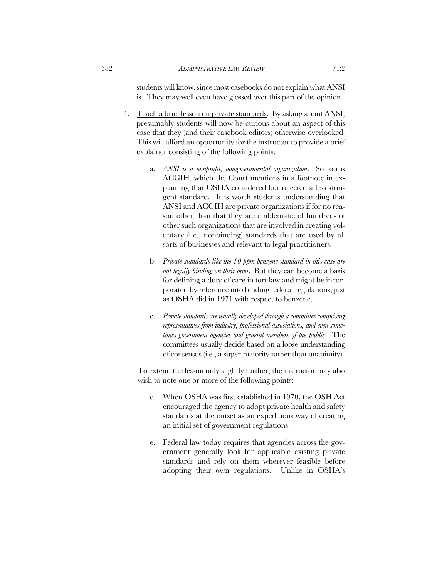students will know, since most casebooks do not explain what ANSI is. They may well even have glossed over this part of the opinion.

- 4. Teach a brief lesson on private standards. By asking about ANSI, presumably students will now be curious about an aspect of this case that they (and their casebook editors) otherwise overlooked. This will afford an opportunity for the instructor to provide a brief explainer consisting of the following points:
	- a. *ANSI is a nonprofit, nongovernmental organization*. So too is ACGIH, which the Court mentions in a footnote in explaining that OSHA considered but rejected a less stringent standard. It is worth students understanding that ANSI and ACGIH are private organizations if for no reason other than that they are emblematic of hundreds of other such organizations that are involved in creating voluntary (i.e., nonbinding) standards that are used by all sorts of businesses and relevant to legal practitioners.
	- b. *Private standards like the 10 ppm benzene standard in this case are not legally binding on their own*. But they can become a basis for defining a duty of care in tort law and might be incorporated by reference into binding federal regulations, just as OSHA did in 1971 with respect to benzene.
	- c. *Private standards are usually developed through a committee comprising representatives from industry, professional associations, and even sometimes government agencies and general members of the public*. The committees usually decide based on a loose understanding of consensus (i.e., a super-majority rather than unanimity).

To extend the lesson only slightly further, the instructor may also wish to note one or more of the following points:

- d. When OSHA was first established in 1970, the OSH Act encouraged the agency to adopt private health and safety standards at the outset as an expeditious way of creating an initial set of government regulations.
- e. Federal law today requires that agencies across the government generally look for applicable existing private standards and rely on them wherever feasible before adopting their own regulations. Unlike in OSHA's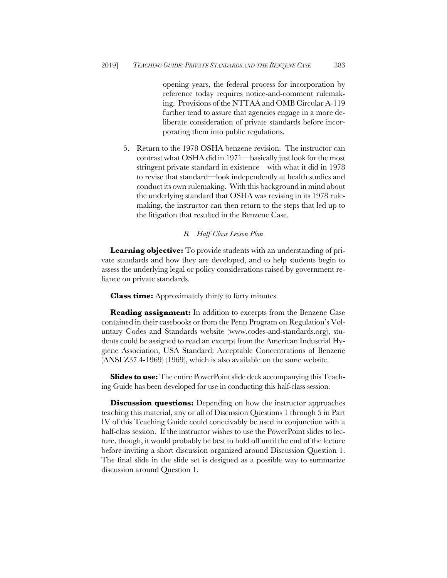opening years, the federal process for incorporation by reference today requires notice-and-comment rulemaking. Provisions of the NTTAA and OMB Circular A-119 further tend to assure that agencies engage in a more deliberate consideration of private standards before incorporating them into public regulations.

5. Return to the 1978 OSHA benzene revision. The instructor can contrast what OSHA did in 1971—basically just look for the most stringent private standard in existence—with what it did in 1978 to revise that standard—look independently at health studies and conduct its own rulemaking. With this background in mind about the underlying standard that OSHA was revising in its 1978 rulemaking, the instructor can then return to the steps that led up to the litigation that resulted in the Benzene Case.

## *B. Half-Class Lesson Plan*

**Learning objective:** To provide students with an understanding of private standards and how they are developed, and to help students begin to assess the underlying legal or policy considerations raised by government reliance on private standards.

**Class time:** Approximately thirty to forty minutes.

**Reading assignment:** In addition to excerpts from the Benzene Case contained in their casebooks or from the Penn Program on Regulation's Voluntary Codes and Standards website (www.codes-and-standards.org), students could be assigned to read an excerpt from the American Industrial Hygiene Association, USA Standard: Acceptable Concentrations of Benzene (ANSI Z37.4-1969) (1969), which is also available on the same website.

**Slides to use:** The entire PowerPoint slide deck accompanying this Teaching Guide has been developed for use in conducting this half-class session.

**Discussion questions:** Depending on how the instructor approaches teaching this material, any or all of Discussion Questions 1 through 5 in Part IV of this Teaching Guide could conceivably be used in conjunction with a half-class session. If the instructor wishes to use the PowerPoint slides to lecture, though, it would probably be best to hold off until the end of the lecture before inviting a short discussion organized around Discussion Question 1. The final slide in the slide set is designed as a possible way to summarize discussion around Question 1.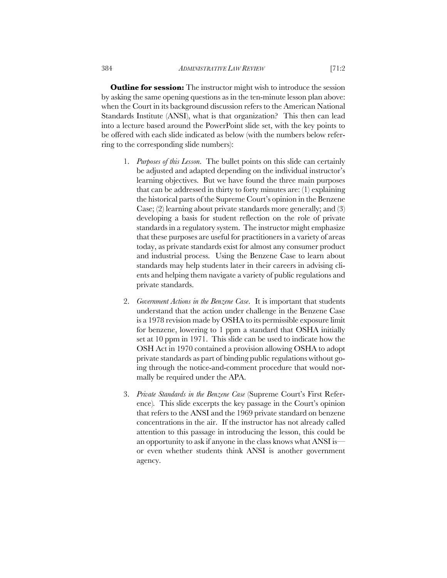**Outline for session:** The instructor might wish to introduce the session by asking the same opening questions as in the ten-minute lesson plan above: when the Court in its background discussion refers to the American National Standards Institute (ANSI), what is that organization? This then can lead into a lecture based around the PowerPoint slide set, with the key points to be offered with each slide indicated as below (with the numbers below referring to the corresponding slide numbers):

- 1. *Purposes of this Lesson*. The bullet points on this slide can certainly be adjusted and adapted depending on the individual instructor's learning objectives. But we have found the three main purposes that can be addressed in thirty to forty minutes are: (1) explaining the historical parts of the Supreme Court's opinion in the Benzene Case; (2) learning about private standards more generally; and (3) developing a basis for student reflection on the role of private standards in a regulatory system. The instructor might emphasize that these purposes are useful for practitioners in a variety of areas today, as private standards exist for almost any consumer product and industrial process. Using the Benzene Case to learn about standards may help students later in their careers in advising clients and helping them navigate a variety of public regulations and private standards.
- 2. *Government Actions in the Benzene Case*. It is important that students understand that the action under challenge in the Benzene Case is a 1978 revision made by OSHA to its permissible exposure limit for benzene, lowering to 1 ppm a standard that OSHA initially set at 10 ppm in 1971. This slide can be used to indicate how the OSH Act in 1970 contained a provision allowing OSHA to adopt private standards as part of binding public regulations without going through the notice-and-comment procedure that would normally be required under the APA.
- 3. *Private Standards in the Benzene Case* (Supreme Court's First Reference)*.* This slide excerpts the key passage in the Court's opinion that refers to the ANSI and the 1969 private standard on benzene concentrations in the air. If the instructor has not already called attention to this passage in introducing the lesson, this could be an opportunity to ask if anyone in the class knows what ANSI is or even whether students think ANSI is another government agency.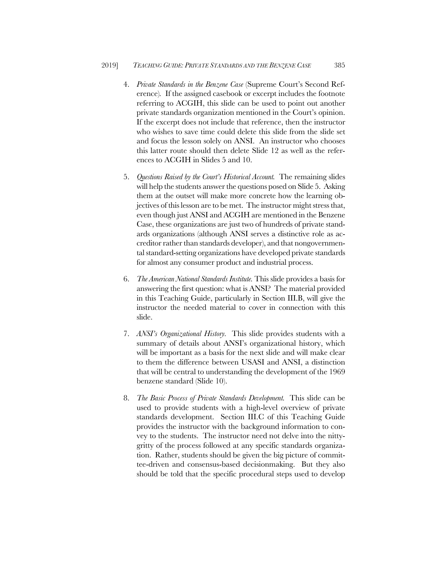- 4. *Private Standards in the Benzene Case* (Supreme Court's Second Reference)*.* If the assigned casebook or excerpt includes the footnote referring to ACGIH, this slide can be used to point out another private standards organization mentioned in the Court's opinion. If the excerpt does not include that reference, then the instructor who wishes to save time could delete this slide from the slide set and focus the lesson solely on ANSI. An instructor who chooses this latter route should then delete Slide 12 as well as the references to ACGIH in Slides 5 and 10.
- 5. *Questions Raised by the Court's Historical Account.* The remaining slides will help the students answer the questions posed on Slide 5. Asking them at the outset will make more concrete how the learning objectives of this lesson are to be met. The instructor might stress that, even though just ANSI and ACGIH are mentioned in the Benzene Case, these organizations are just two of hundreds of private standards organizations (although ANSI serves a distinctive role as accreditor rather than standards developer), and that nongovernmental standard-setting organizations have developed private standards for almost any consumer product and industrial process.
- 6. *The American National Standards Institute.* This slide provides a basis for answering the first question: what is ANSI? The material provided in this Teaching Guide, particularly in Section III.B, will give the instructor the needed material to cover in connection with this slide.
- 7. *ANSI's Organizational History.* This slide provides students with a summary of details about ANSI's organizational history, which will be important as a basis for the next slide and will make clear to them the difference between USASI and ANSI, a distinction that will be central to understanding the development of the 1969 benzene standard (Slide 10).
- 8. *The Basic Process of Private Standards Development.* This slide can be used to provide students with a high-level overview of private standards development. Section III.C of this Teaching Guide provides the instructor with the background information to convey to the students. The instructor need not delve into the nittygritty of the process followed at any specific standards organization. Rather, students should be given the big picture of committee-driven and consensus-based decisionmaking. But they also should be told that the specific procedural steps used to develop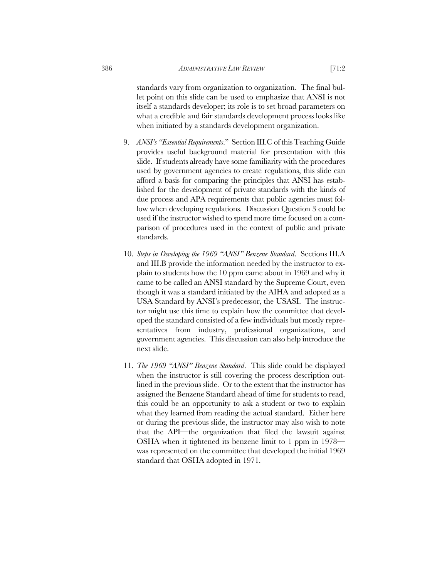standards vary from organization to organization. The final bullet point on this slide can be used to emphasize that ANSI is not itself a standards developer; its role is to set broad parameters on what a credible and fair standards development process looks like when initiated by a standards development organization.

- 9. *ANSI's "Essential Requirements*." Section III.C of this Teaching Guide provides useful background material for presentation with this slide. If students already have some familiarity with the procedures used by government agencies to create regulations, this slide can afford a basis for comparing the principles that ANSI has established for the development of private standards with the kinds of due process and APA requirements that public agencies must follow when developing regulations. Discussion Question 3 could be used if the instructor wished to spend more time focused on a comparison of procedures used in the context of public and private standards.
- 10. *Steps in Developing the 1969 "ANSI" Benzene Standard*. Sections III.A and III.B provide the information needed by the instructor to explain to students how the 10 ppm came about in 1969 and why it came to be called an ANSI standard by the Supreme Court, even though it was a standard initiated by the AIHA and adopted as a USA Standard by ANSI's predecessor, the USASI. The instructor might use this time to explain how the committee that developed the standard consisted of a few individuals but mostly representatives from industry, professional organizations, and government agencies. This discussion can also help introduce the next slide.
- 11. *The 1969 "ANSI" Benzene Standard*. This slide could be displayed when the instructor is still covering the process description outlined in the previous slide. Or to the extent that the instructor has assigned the Benzene Standard ahead of time for students to read, this could be an opportunity to ask a student or two to explain what they learned from reading the actual standard. Either here or during the previous slide, the instructor may also wish to note that the API—the organization that filed the lawsuit against OSHA when it tightened its benzene limit to 1 ppm in 1978 was represented on the committee that developed the initial 1969 standard that OSHA adopted in 1971.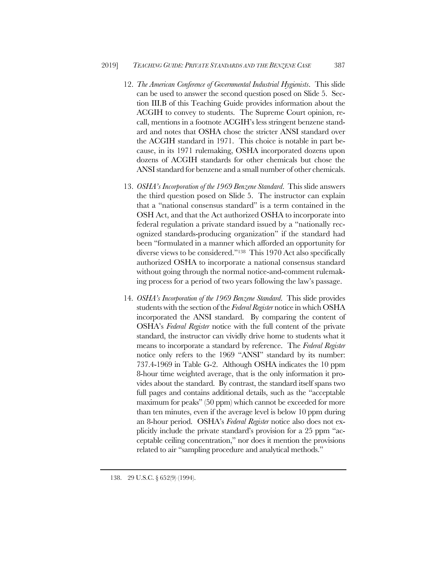- 12. *The American Conference of Governmental Industrial Hygienists*. This slide can be used to answer the second question posed on Slide 5. Section III.B of this Teaching Guide provides information about the ACGIH to convey to students. The Supreme Court opinion, recall, mentions in a footnote ACGIH's less stringent benzene standard and notes that OSHA chose the stricter ANSI standard over the ACGIH standard in 1971. This choice is notable in part because, in its 1971 rulemaking, OSHA incorporated dozens upon dozens of ACGIH standards for other chemicals but chose the ANSI standard for benzene and a small number of other chemicals.
- 13. *OSHA's Incorporation of the 1969 Benzene Standard*. This slide answers the third question posed on Slide 5. The instructor can explain that a "national consensus standard" is a term contained in the OSH Act, and that the Act authorized OSHA to incorporate into federal regulation a private standard issued by a "nationally recognized standards-producing organization" if the standard had been "formulated in a manner which afforded an opportunity for diverse views to be considered."138 This 1970 Act also specifically authorized OSHA to incorporate a national consensus standard without going through the normal notice-and-comment rulemaking process for a period of two years following the law's passage.
- 14. *OSHA's Incorporation of the 1969 Benzene Standard*. This slide provides students with the section of the *Federal Register* notice in which OSHA incorporated the ANSI standard. By comparing the content of OSHA's *Federal Register* notice with the full content of the private standard, the instructor can vividly drive home to students what it means to incorporate a standard by reference. The *Federal Register* notice only refers to the 1969 "ANSI" standard by its number: 737.4-1969 in Table G-2. Although OSHA indicates the 10 ppm 8-hour time weighted average, that is the only information it provides about the standard. By contrast, the standard itself spans two full pages and contains additional details, such as the "acceptable maximum for peaks" (50 ppm) which cannot be exceeded for more than ten minutes, even if the average level is below 10 ppm during an 8-hour period. OSHA's *Federal Register* notice also does not explicitly include the private standard's provision for a 25 ppm "acceptable ceiling concentration," nor does it mention the provisions related to air "sampling procedure and analytical methods."

<sup>138.</sup> 29 U.S.C. § 652(9) (1994).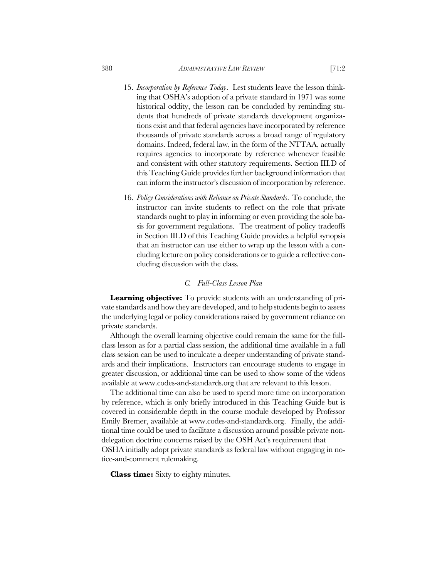- 15. *Incorporation by Reference Today*. Lest students leave the lesson thinking that OSHA's adoption of a private standard in 1971 was some historical oddity, the lesson can be concluded by reminding students that hundreds of private standards development organizations exist and that federal agencies have incorporated by reference thousands of private standards across a broad range of regulatory domains. Indeed, federal law, in the form of the NTTAA, actually requires agencies to incorporate by reference whenever feasible and consistent with other statutory requirements. Section III.D of this Teaching Guide provides further background information that can inform the instructor's discussion of incorporation by reference.
- 16. *Policy Considerations with Reliance on Private Standards*. To conclude, the instructor can invite students to reflect on the role that private standards ought to play in informing or even providing the sole basis for government regulations. The treatment of policy tradeoffs in Section III.D of this Teaching Guide provides a helpful synopsis that an instructor can use either to wrap up the lesson with a concluding lecture on policy considerations or to guide a reflective concluding discussion with the class.

## *C. Full-Class Lesson Plan*

**Learning objective:** To provide students with an understanding of private standards and how they are developed, and to help students begin to assess the underlying legal or policy considerations raised by government reliance on private standards.

Although the overall learning objective could remain the same for the fullclass lesson as for a partial class session, the additional time available in a full class session can be used to inculcate a deeper understanding of private standards and their implications. Instructors can encourage students to engage in greater discussion, or additional time can be used to show some of the videos available at www.codes-and-standards.org that are relevant to this lesson.

The additional time can also be used to spend more time on incorporation by reference, which is only briefly introduced in this Teaching Guide but is covered in considerable depth in the course module developed by Professor Emily Bremer, available at www.codes-and-standards.org. Finally, the additional time could be used to facilitate a discussion around possible private nondelegation doctrine concerns raised by the OSH Act's requirement that OSHA initially adopt private standards as federal law without engaging in notice-and-comment rulemaking.

**Class time:** Sixty to eighty minutes.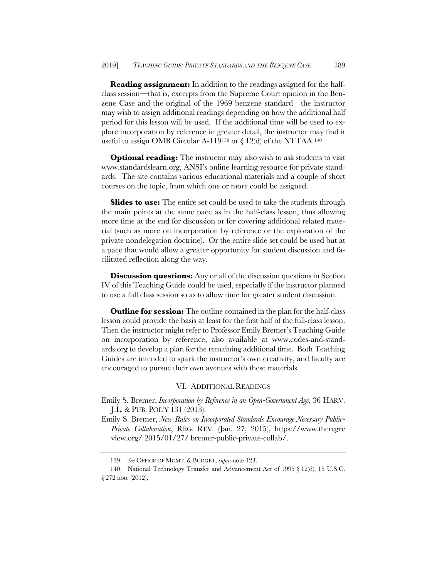**Reading assignment:** In addition to the readings assigned for the halfclass session—that is, excerpts from the Supreme Court opinion in the Benzene Case and the original of the 1969 benzene standard—the instructor may wish to assign additional readings depending on how the additional half period for this lesson will be used. If the additional time will be used to explore incorporation by reference in greater detail, the instructor may find it useful to assign OMB Circular A-119<sup>139</sup> or  $\S 12$ (d) of the NTTAA.<sup>140</sup>

**Optional reading:** The instructor may also wish to ask students to visit www.standardslearn.org, ANSI's online learning resource for private standards. The site contains various educational materials and a couple of short courses on the topic, from which one or more could be assigned.

**Slides to use:** The entire set could be used to take the students through the main points at the same pace as in the half-class lesson, thus allowing more time at the end for discussion or for covering additional related material (such as more on incorporation by reference or the exploration of the private nondelegation doctrine). Or the entire slide set could be used but at a pace that would allow a greater opportunity for student discussion and facilitated reflection along the way.

**Discussion questions:** Any or all of the discussion questions in Section IV of this Teaching Guide could be used, especially if the instructor planned to use a full class session so as to allow time for greater student discussion.

**Outline for session:** The outline contained in the plan for the half-class lesson could provide the basis at least for the first half of the full-class lesson. Then the instructor might refer to Professor Emily Bremer's Teaching Guide on incorporation by reference, also available at www.codes-and-standards.org to develop a plan for the remaining additional time. Both Teaching Guides are intended to spark the instructor's own creativity, and faculty are encouraged to pursue their own avenues with these materials.

## VI. ADDITIONAL READINGS

Emily S. Bremer, *Incorporation by Reference in an Open-Government Age*, 36 HARV. J.L. & PUB. POL'Y 131 (2013).

Emily S. Bremer, *New Rules on Incorporated Standards Encourage Necessary Public-Private Collaboration*, REG. REV. (Jan. 27, 2015), https://www.theregre view.org/ 2015/01/27/ bremer-public-private-collab/.

<sup>139.</sup> *See* OFFICE OF MGMT. & BUDGET, *supra* note 123.

<sup>140.</sup> National Technology Transfer and Advancement Act of 1995 § 12(d), 15 U.S.C. § 272 note (2012).